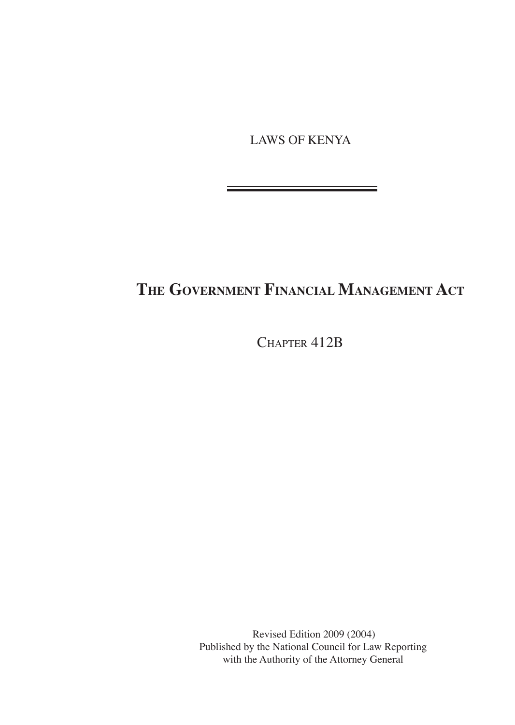LAWS OF KENYA

# **The Government Financial Management Act**

CHAPTER 412B

Revised Edition 2009 (2004) Published by the National Council for Law Reporting with the Authority of the Attorney General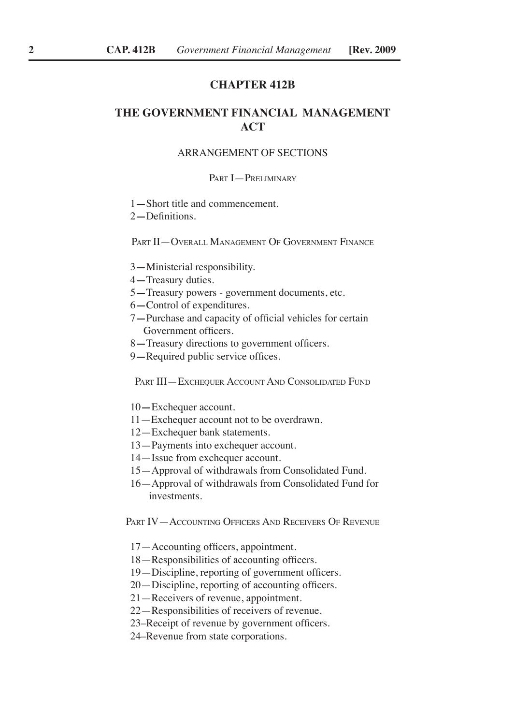# **Chapter 412B**

# **THE GOVERNMENT FINANCIAL MANAGEMENT ACT**

#### ARRANGEMENT OF SECTIONS

#### Part I—Preliminary

- 1**—**Short title and commencement.
- 2**—**Definitions.

PART II—OVERALL MANAGEMENT OF GOVERNMENT FINANCE

- 3**—**Ministerial responsibility.
- 4**—**Treasury duties.
- 5**—**Treasury powers government documents, etc.
- 6**—**Control of expenditures.
- 7**—**Purchase and capacity of official vehicles for certain Government officers.
- 8**—**Treasury directions to government officers.
- 9**—**Required public service offices.

PART III—EXCHEQUER ACCOUNT AND CONSOLIDATED FUND

- 10**—**Exchequer account.
- 11—Exchequer account not to be overdrawn.
- 12—Exchequer bank statements.
- 13—Payments into exchequer account.
- 14—Issue from exchequer account.
- 15—Approval of withdrawals from Consolidated Fund.
- 16—Approval of withdrawals from Consolidated Fund for investments.

Part IV—Accounting Officers And Receivers Of Revenue

- 17—Accounting officers, appointment.
- 18—Responsibilities of accounting officers.
- 19—Discipline, reporting of government officers.
- 20—Discipline, reporting of accounting officers.
- 21—Receivers of revenue, appointment.
- 22—Responsibilities of receivers of revenue.
- 23–Receipt of revenue by government officers.
- 24–Revenue from state corporations.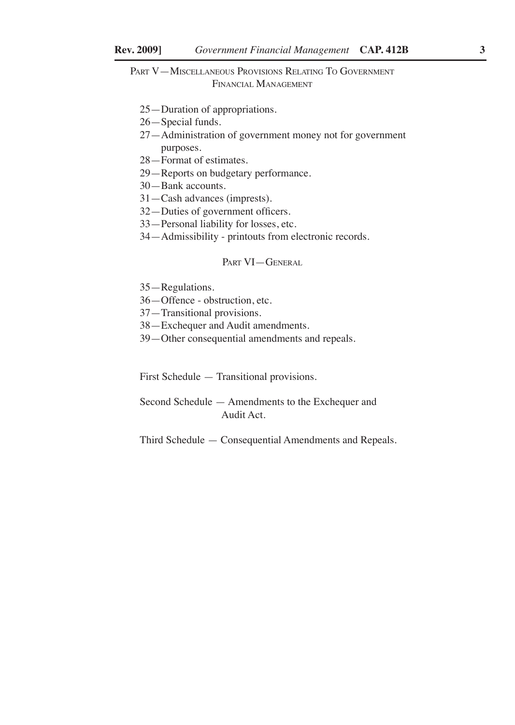Part V—Miscellaneous Provisions Relating To Government Financial Management

- 25—Duration of appropriations.
- 26—Special funds.
- 27—Administration of government money not for government purposes.
- 28—Format of estimates.
- 29—Reports on budgetary performance.
- 30—Bank accounts.
- 31—Cash advances (imprests).
- 32—Duties of government officers.
- 33—Personal liability for losses, etc.
- 34—Admissibility printouts from electronic records.

### PART VI-GENERAL

- 35—Regulations.
- 36—Offence obstruction, etc.
- 37—Transitional provisions.
- 38—Exchequer and Audit amendments.
- 39—Other consequential amendments and repeals.

First Schedule — Transitional provisions.

Second Schedule — Amendments to the Exchequer and Audit Act.

Third Schedule — Consequential Amendments and Repeals.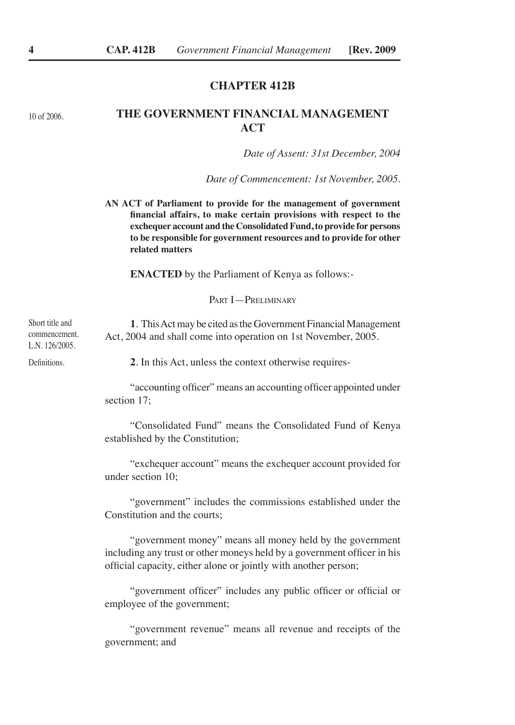# **Chapter 412B**

10 of 2006.

# **THE GOVERNMENT FINANCIAL MANAGEMENT ACT**

*Date of Assent: 31st December, 2004*

*Date of Commencement: 1st November, 2005.*

**AN ACT of Parliament to provide for the management of government financial affairs, to make certain provisions with respect to the exchequer account and the Consolidated Fund, to provide for persons to be responsible for government resources and to provide for other related matters**

**ENACTED** by the Parliament of Kenya as follows:-

PART **I** - PRELIMINARY

**1**. This Act may be cited as the Government Financial Management Act, 2004 and shall come into operation on 1st November, 2005. Short title and commencement. L.N. 126/2005.

Definitions.

**2**. In this Act, unless the context otherwise requires-

"accounting officer" means an accounting officer appointed under section 17;

"Consolidated Fund" means the Consolidated Fund of Kenya established by the Constitution;

"exchequer account" means the exchequer account provided for under section 10;

"government" includes the commissions established under the Constitution and the courts;

"government money" means all money held by the government including any trust or other moneys held by a government officer in his official capacity, either alone or jointly with another person;

"government officer" includes any public officer or official or employee of the government;

"government revenue" means all revenue and receipts of the government; and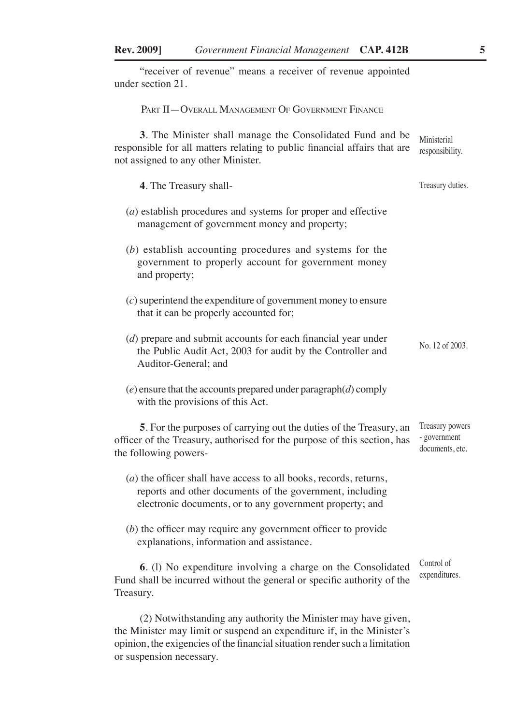| "receiver of revenue" means a receiver of revenue appointed<br>under section 21.                                                                                                            |                                                    |
|---------------------------------------------------------------------------------------------------------------------------------------------------------------------------------------------|----------------------------------------------------|
| PART II - OVERALL MANAGEMENT OF GOVERNMENT FINANCE                                                                                                                                          |                                                    |
| 3. The Minister shall manage the Consolidated Fund and be<br>responsible for all matters relating to public financial affairs that are<br>not assigned to any other Minister.               | Ministerial<br>responsibility.                     |
| 4. The Treasury shall-                                                                                                                                                                      | Treasury duties.                                   |
| $(a)$ establish procedures and systems for proper and effective<br>management of government money and property;                                                                             |                                                    |
| (b) establish accounting procedures and systems for the<br>government to properly account for government money<br>and property;                                                             |                                                    |
| $(c)$ superintend the expenditure of government money to ensure<br>that it can be properly accounted for;                                                                                   |                                                    |
| $(d)$ prepare and submit accounts for each financial year under<br>the Public Audit Act, 2003 for audit by the Controller and<br>Auditor-General; and                                       | No. 12 of 2003.                                    |
| $(e)$ ensure that the accounts prepared under paragraph $(d)$ comply<br>with the provisions of this Act.                                                                                    |                                                    |
| 5. For the purposes of carrying out the duties of the Treasury, an<br>officer of the Treasury, authorised for the purpose of this section, has<br>the following powers-                     | Treasury powers<br>- government<br>documents, etc. |
| $(a)$ the officer shall have access to all books, records, returns,<br>reports and other documents of the government, including<br>electronic documents, or to any government property; and |                                                    |
| $(b)$ the officer may require any government officer to provide<br>explanations, information and assistance.                                                                                |                                                    |
| 6. (1) No expenditure involving a charge on the Consolidated<br>Fund shall be incurred without the general or specific authority of the<br>Treasury.                                        | Control of<br>expenditures.                        |
| (2) Notwithstanding any authority the Minister may have given,<br>the Minister may limit or suspend an expenditure if in the Minister's                                                     |                                                    |

the Minister may limit or suspend an expenditure if, in the Minister's opinion, the exigencies of the financial situation render such a limitation or suspension necessary.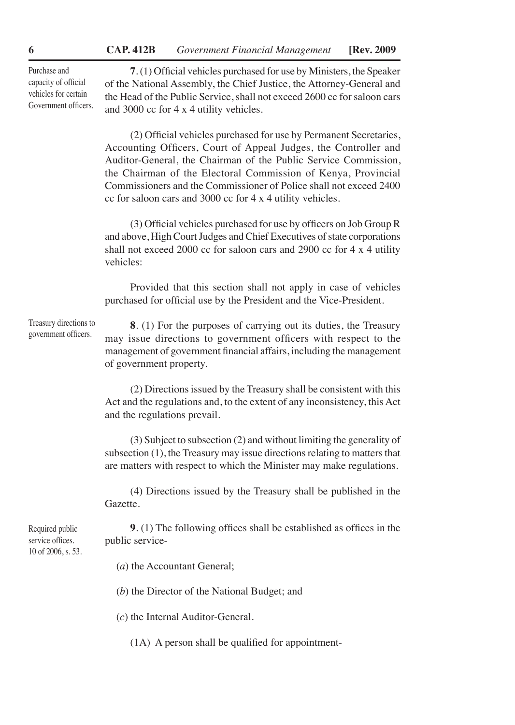Purchase and capacity of official vehicles for certain Government officers.

**7**. (1) Official vehicles purchased for use by Ministers, the Speaker of the National Assembly, the Chief Justice, the Attorney-General and the Head of the Public Service, shall not exceed 2600 cc for saloon cars and 3000 cc for 4 x 4 utility vehicles.

(2) Official vehicles purchased for use by Permanent Secretaries, Accounting Officers, Court of Appeal Judges, the Controller and Auditor-General, the Chairman of the Public Service Commission, the Chairman of the Electoral Commission of Kenya, Provincial Commissioners and the Commissioner of Police shall not exceed 2400 cc for saloon cars and 3000 cc for 4 x 4 utility vehicles.

(3) Official vehicles purchased for use by officers on Job Group R and above, High Court Judges and Chief Executives of state corporations shall not exceed 2000 cc for saloon cars and 2900 cc for 4 x 4 utility vehicles:

Provided that this section shall not apply in case of vehicles purchased for official use by the President and the Vice-President.

Treasury directions to government officers.

**8**. (1) For the purposes of carrying out its duties, the Treasury may issue directions to government officers with respect to the management of government financial affairs, including the management of government property.

(2) Directions issued by the Treasury shall be consistent with this Act and the regulations and, to the extent of any inconsistency, this Act and the regulations prevail.

(3) Subject to subsection (2) and without limiting the generality of subsection (1), the Treasury may issue directions relating to matters that are matters with respect to which the Minister may make regulations.

(4) Directions issued by the Treasury shall be published in the Gazette.

**9**. (1) The following offices shall be established as offices in the public service-

(*a*) the Accountant General;

(*b*) the Director of the National Budget; and

(*c*) the Internal Auditor-General.

(1A) A person shall be qualified for appointment-

Required public service offices. 10 of 2006, s. 53.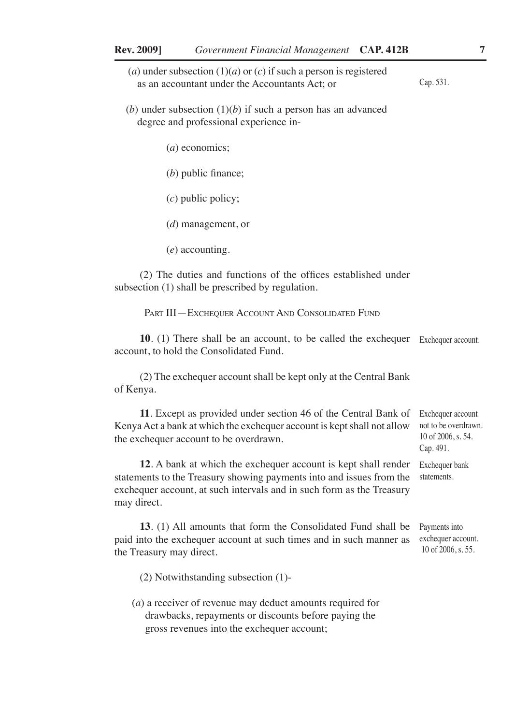- (*a*) under subsection  $(1)(a)$  or  $(c)$  if such a person is registered as an accountant under the Accountants Act; or
- (*b*) under subsection  $(1)(b)$  if such a person has an advanced degree and professional experience in-

(*a*) economics;

(*b*) public finance;

(*c*) public policy;

(*d*) management, or

(*e*) accounting.

(2) The duties and functions of the offices established under subsection (1) shall be prescribed by regulation.

PART III—EXCHEQUER ACCOUNT AND CONSOLIDATED FUND

**10**. (1) There shall be an account, to be called the exchequer Exchequer account. account, to hold the Consolidated Fund.

(2) The exchequer account shall be kept only at the Central Bank of Kenya.

**11**. Except as provided under section 46 of the Central Bank of Kenya Act a bank at which the exchequer account is kept shall not allow the exchequer account to be overdrawn.

**12**. A bank at which the exchequer account is kept shall render statements to the Treasury showing payments into and issues from the exchequer account, at such intervals and in such form as the Treasury may direct.

**13**. (1) All amounts that form the Consolidated Fund shall be paid into the exchequer account at such times and in such manner as the Treasury may direct.

(2) Notwithstanding subsection (1)-

(*a*) a receiver of revenue may deduct amounts required for drawbacks, repayments or discounts before paying the gross revenues into the exchequer account;

Exchequer account not to be overdrawn. 10 of 2006, s. 54. Cap. 491.

Exchequer bank statements.

Payments into exchequer account. 10 of 2006, s. 55.

Cap. 531.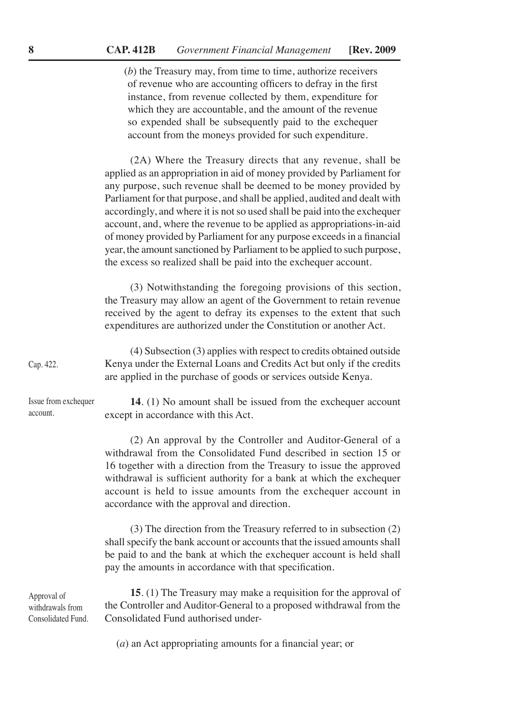(*b*) the Treasury may, from time to time, authorize receivers of revenue who are accounting officers to defray in the first instance, from revenue collected by them, expenditure for which they are accountable, and the amount of the revenue so expended shall be subsequently paid to the exchequer account from the moneys provided for such expenditure.

(2A) Where the Treasury directs that any revenue, shall be applied as an appropriation in aid of money provided by Parliament for any purpose, such revenue shall be deemed to be money provided by Parliament for that purpose, and shall be applied, audited and dealt with accordingly, and where it is not so used shall be paid into the exchequer account, and, where the revenue to be applied as appropriations-in-aid of money provided by Parliament for any purpose exceeds in a financial year, the amount sanctioned by Parliament to be applied to such purpose, the excess so realized shall be paid into the exchequer account.

(3) Notwithstanding the foregoing provisions of this section, the Treasury may allow an agent of the Government to retain revenue received by the agent to defray its expenses to the extent that such expenditures are authorized under the Constitution or another Act.

(4) Subsection (3) applies with respect to credits obtained outside Kenya under the External Loans and Credits Act but only if the credits are applied in the purchase of goods or services outside Kenya. Cap. 422.

Issue from exchequer account.

**14**. (1) No amount shall be issued from the exchequer account except in accordance with this Act.

(2) An approval by the Controller and Auditor-General of a withdrawal from the Consolidated Fund described in section 15 or 16 together with a direction from the Treasury to issue the approved withdrawal is sufficient authority for a bank at which the exchequer account is held to issue amounts from the exchequer account in accordance with the approval and direction.

(3) The direction from the Treasury referred to in subsection (2) shall specify the bank account or accounts that the issued amounts shall be paid to and the bank at which the exchequer account is held shall pay the amounts in accordance with that specification.

Approval of withdrawals from Consolidated Fund.

**15**. (1) The Treasury may make a requisition for the approval of the Controller and Auditor-General to a proposed withdrawal from the Consolidated Fund authorised under-

(*a*) an Act appropriating amounts for a financial year; or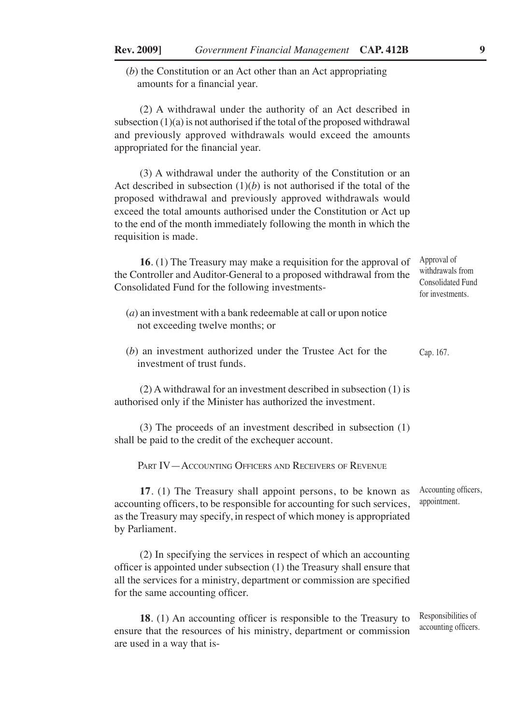(*b*) the Constitution or an Act other than an Act appropriating amounts for a financial year.

(2) A withdrawal under the authority of an Act described in subsection  $(1)(a)$  is not authorised if the total of the proposed withdrawal and previously approved withdrawals would exceed the amounts appropriated for the financial year.

(3) A withdrawal under the authority of the Constitution or an Act described in subsection  $(1)(b)$  is not authorised if the total of the proposed withdrawal and previously approved withdrawals would exceed the total amounts authorised under the Constitution or Act up to the end of the month immediately following the month in which the requisition is made.

**16**. (1) The Treasury may make a requisition for the approval of the Controller and Auditor-General to a proposed withdrawal from the Consolidated Fund for the following investments-

- (*a*) an investment with a bank redeemable at call or upon notice not exceeding twelve months; or
- (*b*) an investment authorized under the Trustee Act for the investment of trust funds. Cap. 167.

(2) A withdrawal for an investment described in subsection (1) is authorised only if the Minister has authorized the investment.

(3) The proceeds of an investment described in subsection (1) shall be paid to the credit of the exchequer account.

PART IV—ACCOUNTING OFFICERS AND RECEIVERS OF REVENUE

**17**. (1) The Treasury shall appoint persons, to be known as accounting officers, to be responsible for accounting for such services, as the Treasury may specify, in respect of which money is appropriated by Parliament. Accounting officers, appointment.

(2) In specifying the services in respect of which an accounting officer is appointed under subsection (1) the Treasury shall ensure that all the services for a ministry, department or commission are specified for the same accounting officer.

**18**. (1) An accounting officer is responsible to the Treasury to ensure that the resources of his ministry, department or commission are used in a way that is-Responsibilities of accounting officers.

Approval of withdrawals from Consolidated Fund for investments.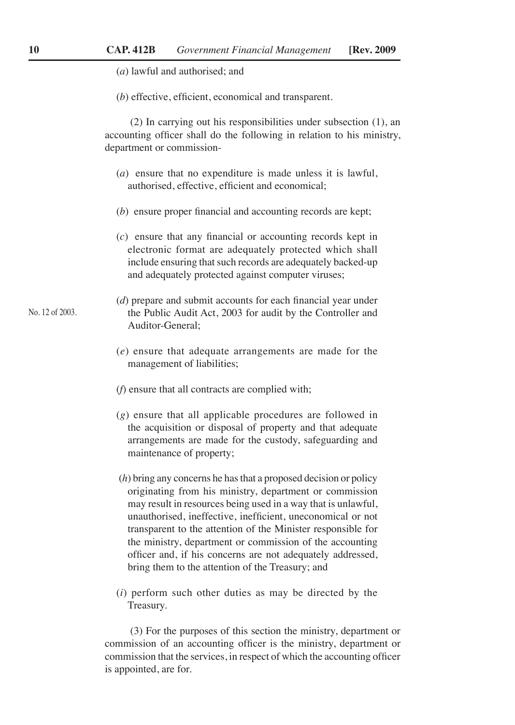|  |  | ( <i>a</i> ) lawful and authorised; and |  |
|--|--|-----------------------------------------|--|
|--|--|-----------------------------------------|--|

(*b*) effective, efficient, economical and transparent.

(2) In carrying out his responsibilities under subsection (1), an accounting officer shall do the following in relation to his ministry, department or commission-

- (*a*) ensure that no expenditure is made unless it is lawful, authorised, effective, efficient and economical;
- (*b*) ensure proper financial and accounting records are kept;
- (*c*) ensure that any financial or accounting records kept in electronic format are adequately protected which shall include ensuring that such records are adequately backed-up and adequately protected against computer viruses;
- (*d*) prepare and submit accounts for each financial year under the Public Audit Act, 2003 for audit by the Controller and Auditor-General;
	- (*e*) ensure that adequate arrangements are made for the management of liabilities;
	- (*f*) ensure that all contracts are complied with;
	- (*g*) ensure that all applicable procedures are followed in the acquisition or disposal of property and that adequate arrangements are made for the custody, safeguarding and maintenance of property;
	- (*h*) bring any concerns he has that a proposed decision or policy originating from his ministry, department or commission may result in resources being used in a way that is unlawful, unauthorised, ineffective, inefficient, uneconomical or not transparent to the attention of the Minister responsible for the ministry, department or commission of the accounting officer and, if his concerns are not adequately addressed, bring them to the attention of the Treasury; and
	- (*i*) perform such other duties as may be directed by the Treasury.

(3) For the purposes of this section the ministry, department or commission of an accounting officer is the ministry, department or commission that the services, in respect of which the accounting officer is appointed, are for.

No. 12 of 2003.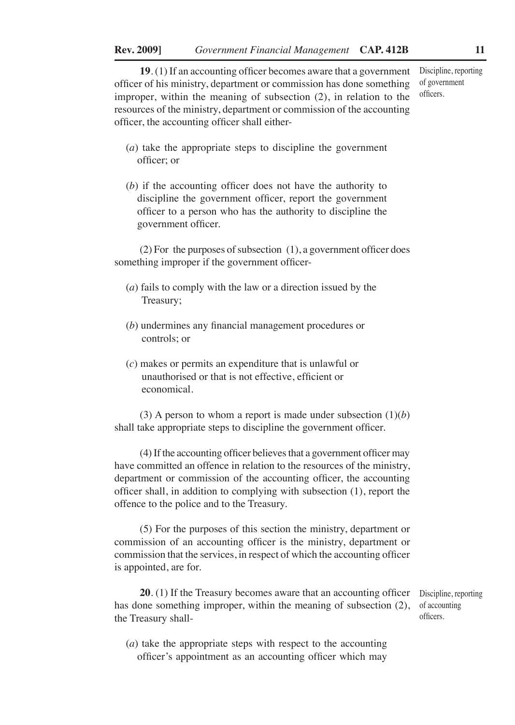**19**. (1) If an accounting officer becomes aware that a government officer of his ministry, department or commission has done something improper, within the meaning of subsection (2), in relation to the resources of the ministry, department or commission of the accounting officer, the accounting officer shall either-

Discipline, reporting of government officers.

- (*a*) take the appropriate steps to discipline the government officer; or
- (*b*) if the accounting officer does not have the authority to discipline the government officer, report the government officer to a person who has the authority to discipline the government officer.

(2) For the purposes of subsection (1), a government officer does something improper if the government officer-

- (*a*) fails to comply with the law or a direction issued by the Treasury;
- (*b*) undermines any financial management procedures or controls; or
- (*c*) makes or permits an expenditure that is unlawful or unauthorised or that is not effective, efficient or economical.

(3) A person to whom a report is made under subsection  $(1)(b)$ shall take appropriate steps to discipline the government officer.

(4) If the accounting officer believes that a government officer may have committed an offence in relation to the resources of the ministry, department or commission of the accounting officer, the accounting officer shall, in addition to complying with subsection (1), report the offence to the police and to the Treasury.

(5) For the purposes of this section the ministry, department or commission of an accounting officer is the ministry, department or commission that the services, in respect of which the accounting officer is appointed, are for.

20. (1) If the Treasury becomes aware that an accounting officer Discipline, reporting has done something improper, within the meaning of subsection (2), the Treasury shall-

of accounting officers.

(*a*) take the appropriate steps with respect to the accounting officer's appointment as an accounting officer which may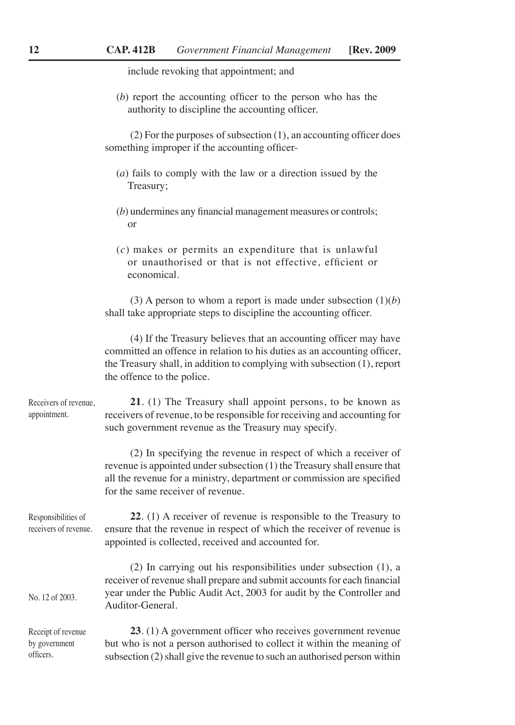include revoking that appointment; and

(*b*) report the accounting officer to the person who has the authority to discipline the accounting officer.

(2) For the purposes of subsection (1), an accounting officer does something improper if the accounting officer-

| (a) fails to comply with the law or a direction issued by the |  |  |  |  |
|---------------------------------------------------------------|--|--|--|--|
| Treasury;                                                     |  |  |  |  |

- (*b*) undermines any financial management measures or controls; or
- (*c*) makes or permits an expenditure that is unlawful or unauthorised or that is not effective, efficient or economical.

(3) A person to whom a report is made under subsection  $(1)(b)$ shall take appropriate steps to discipline the accounting officer.

(4) If the Treasury believes that an accounting officer may have committed an offence in relation to his duties as an accounting officer, the Treasury shall, in addition to complying with subsection (1), report the offence to the police.

**21**. (1) The Treasury shall appoint persons, to be known as receivers of revenue, to be responsible for receiving and accounting for such government revenue as the Treasury may specify. Receivers of revenue, appointment.

> (2) In specifying the revenue in respect of which a receiver of revenue is appointed under subsection (1) the Treasury shall ensure that all the revenue for a ministry, department or commission are specified for the same receiver of revenue.

**22**. (1) A receiver of revenue is responsible to the Treasury to ensure that the revenue in respect of which the receiver of revenue is appointed is collected, received and accounted for. Responsibilities of receivers of revenue.

(2) In carrying out his responsibilities under subsection (1), a receiver of revenue shall prepare and submit accounts for each financial year under the Public Audit Act, 2003 for audit by the Controller and Auditor-General. No. 12 of 2003.

**23**. (1) A government officer who receives government revenue but who is not a person authorised to collect it within the meaning of subsection (2) shall give the revenue to such an authorised person within Receipt of revenue by government officers.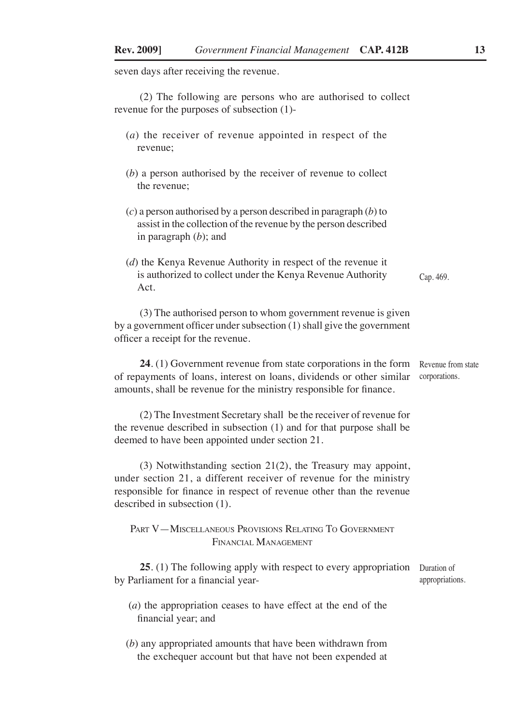seven days after receiving the revenue.

(2) The following are persons who are authorised to collect revenue for the purposes of subsection (1)-

- (*a*) the receiver of revenue appointed in respect of the revenue;
- (*b*) a person authorised by the receiver of revenue to collect the revenue;
- (*c*) a person authorised by a person described in paragraph (*b*) to assist in the collection of the revenue by the person described in paragraph (*b*); and
- (*d*) the Kenya Revenue Authority in respect of the revenue it is authorized to collect under the Kenya Revenue Authority Act. Cap. 469.

(3) The authorised person to whom government revenue is given by a government officer under subsection (1) shall give the government officer a receipt for the revenue.

**24**. (1) Government revenue from state corporations in the form of repayments of loans, interest on loans, dividends or other similar amounts, shall be revenue for the ministry responsible for finance. Revenue from state corporations.

(2) The Investment Secretary shall be the receiver of revenue for the revenue described in subsection (1) and for that purpose shall be deemed to have been appointed under section 21.

(3) Notwithstanding section 21(2), the Treasury may appoint, under section 21, a different receiver of revenue for the ministry responsible for finance in respect of revenue other than the revenue described in subsection (1).

Part V—Miscellaneous Provisions Relating To Government Financial Management

25. (1) The following apply with respect to every appropriation Duration of by Parliament for a financial year appropriations.

- (*a*) the appropriation ceases to have effect at the end of the financial year; and
- (*b*) any appropriated amounts that have been withdrawn from the exchequer account but that have not been expended at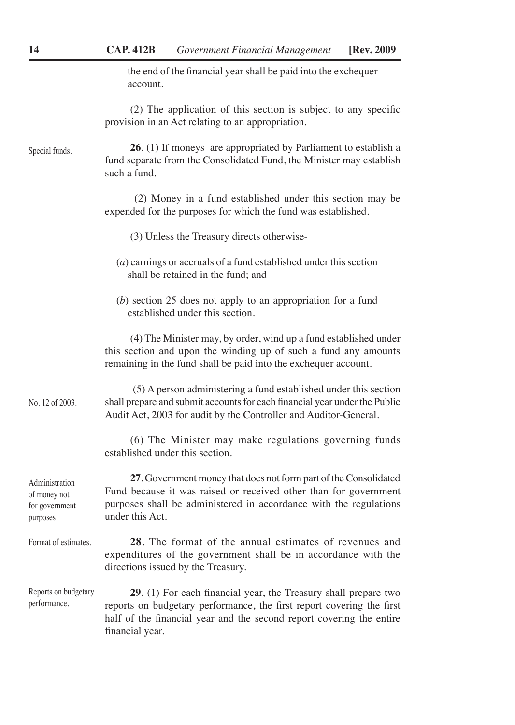the end of the financial year shall be paid into the exchequer account.

(2) The application of this section is subject to any specific provision in an Act relating to an appropriation.

**26**. (1) If moneys are appropriated by Parliament to establish a fund separate from the Consolidated Fund, the Minister may establish such a fund. Special funds.

> (2) Money in a fund established under this section may be expended for the purposes for which the fund was established.

- (3) Unless the Treasury directs otherwise-
- (*a*) earnings or accruals of a fund established under this section shall be retained in the fund; and
- (*b*) section 25 does not apply to an appropriation for a fund established under this section.

(4) The Minister may, by order, wind up a fund established under this section and upon the winding up of such a fund any amounts remaining in the fund shall be paid into the exchequer account.

(5) A person administering a fund established under this section shall prepare and submit accounts for each financial year under the Public Audit Act, 2003 for audit by the Controller and Auditor-General. No. 12 of 2003.

> (6) The Minister may make regulations governing funds established under this section.

**27**. Government money that does not form part of the Consolidated Fund because it was raised or received other than for government purposes shall be administered in accordance with the regulations under this Act. Administration of money not for government

**28**. The format of the annual estimates of revenues and expenditures of the government shall be in accordance with the directions issued by the Treasury. Format of estimates.

**29**. (1) For each financial year, the Treasury shall prepare two reports on budgetary performance, the first report covering the first half of the financial year and the second report covering the entire financial year. Reports on budgetary performance.

purposes.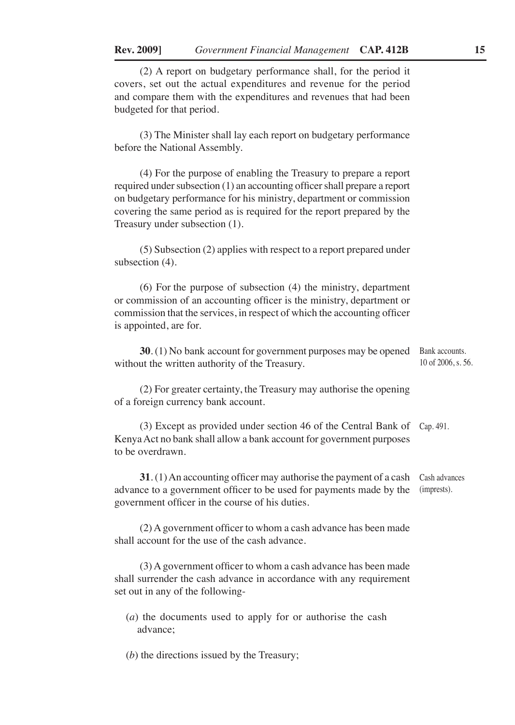(2) A report on budgetary performance shall, for the period it covers, set out the actual expenditures and revenue for the period and compare them with the expenditures and revenues that had been budgeted for that period.

(3) The Minister shall lay each report on budgetary performance before the National Assembly.

(4) For the purpose of enabling the Treasury to prepare a report required under subsection (1) an accounting officer shall prepare a report on budgetary performance for his ministry, department or commission covering the same period as is required for the report prepared by the Treasury under subsection (1).

(5) Subsection (2) applies with respect to a report prepared under subsection  $(4)$ .

(6) For the purpose of subsection (4) the ministry, department or commission of an accounting officer is the ministry, department or commission that the services, in respect of which the accounting officer is appointed, are for.

**30.** (1) No bank account for government purposes may be opened Bank accounts. without the written authority of the Treasury. 10 of 2006, s. 56.

(2) For greater certainty, the Treasury may authorise the opening of a foreign currency bank account.

(3) Except as provided under section 46 of the Central Bank of Cap. 491. Kenya Act no bank shall allow a bank account for government purposes to be overdrawn.

**31**. (1) An accounting officer may authorise the payment of a cash advance to a government officer to be used for payments made by the government officer in the course of his duties. Cash advances (imprests).

(2) A government officer to whom a cash advance has been made shall account for the use of the cash advance.

(3) A government officer to whom a cash advance has been made shall surrender the cash advance in accordance with any requirement set out in any of the following-

(*a*) the documents used to apply for or authorise the cash advance;

(*b*) the directions issued by the Treasury;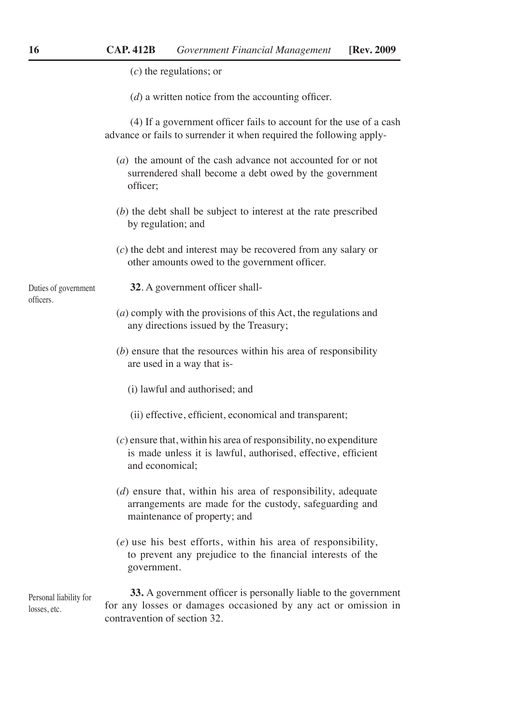|                                        | $(c)$ the regulations; or                                                                                                                                         |
|----------------------------------------|-------------------------------------------------------------------------------------------------------------------------------------------------------------------|
|                                        | $(d)$ a written notice from the accounting officer.                                                                                                               |
|                                        | (4) If a government officer fails to account for the use of a cash<br>advance or fails to surrender it when required the following apply-                         |
|                                        | (a) the amount of the cash advance not accounted for or not<br>surrendered shall become a debt owed by the government<br>officer;                                 |
|                                        | $(b)$ the debt shall be subject to interest at the rate prescribed<br>by regulation; and                                                                          |
|                                        | $(c)$ the debt and interest may be recovered from any salary or<br>other amounts owed to the government officer.                                                  |
| Duties of government                   | 32. A government officer shall-                                                                                                                                   |
| officers.                              | $(a)$ comply with the provisions of this Act, the regulations and<br>any directions issued by the Treasury;                                                       |
|                                        | $(b)$ ensure that the resources within his area of responsibility<br>are used in a way that is-                                                                   |
|                                        | (i) lawful and authorised; and                                                                                                                                    |
|                                        | (ii) effective, efficient, economical and transparent;                                                                                                            |
|                                        | $(c)$ ensure that, within his area of responsibility, no expenditure<br>is made unless it is lawful, authorised, effective, efficient<br>and economical;          |
|                                        | $(d)$ ensure that, within his area of responsibility, adequate<br>arrangements are made for the custody, safeguarding and<br>maintenance of property; and         |
|                                        | $(e)$ use his best efforts, within his area of responsibility,<br>to prevent any prejudice to the financial interests of the<br>government.                       |
| Personal liability for<br>losses, etc. | 33. A government officer is personally liable to the government<br>for any losses or damages occasioned by any act or omission in<br>contravention of section 32. |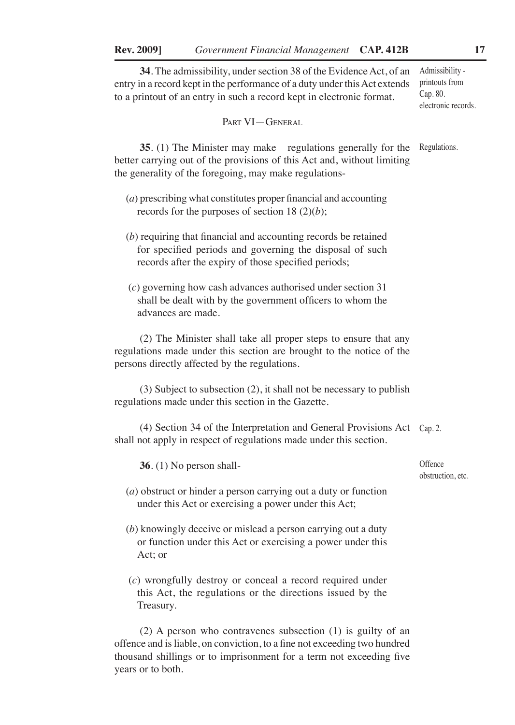**34**. The admissibility, under section 38 of the Evidence Act, of an entry in a record kept in the performance of a duty under this Act extends to a printout of an entry in such a record kept in electronic format. Admissibility -

PART VI-GENERAL

**35**. (1) The Minister may make regulations generally for the Regulations. better carrying out of the provisions of this Act and, without limiting the generality of the foregoing, may make regulations-

- (*a*) prescribing what constitutes proper financial and accounting records for the purposes of section 18 (2)(*b*);
- (*b*) requiring that financial and accounting records be retained for specified periods and governing the disposal of such records after the expiry of those specified periods;
- (*c*) governing how cash advances authorised under section 31 shall be dealt with by the government officers to whom the advances are made.

(2) The Minister shall take all proper steps to ensure that any regulations made under this section are brought to the notice of the persons directly affected by the regulations.

(3) Subject to subsection (2), it shall not be necessary to publish regulations made under this section in the Gazette.

(4) Section 34 of the Interpretation and General Provisions Act Cap. 2. shall not apply in respect of regulations made under this section.

**36**. (1) No person shall- (*a*) obstruct or hinder a person carrying out a duty or function under this Act or exercising a power under this Act; (*b*) knowingly deceive or mislead a person carrying out a duty or function under this Act or exercising a power under this Act; or (*c*) wrongfully destroy or conceal a record required under this Act, the regulations or the directions issued by the **Offence** 

(2) A person who contravenes subsection (1) is guilty of an offence and is liable, on conviction, to a fine not exceeding two hundred thousand shillings or to imprisonment for a term not exceeding five years or to both.

Treasury.

printouts from Cap. 80. electronic records.

obstruction, etc.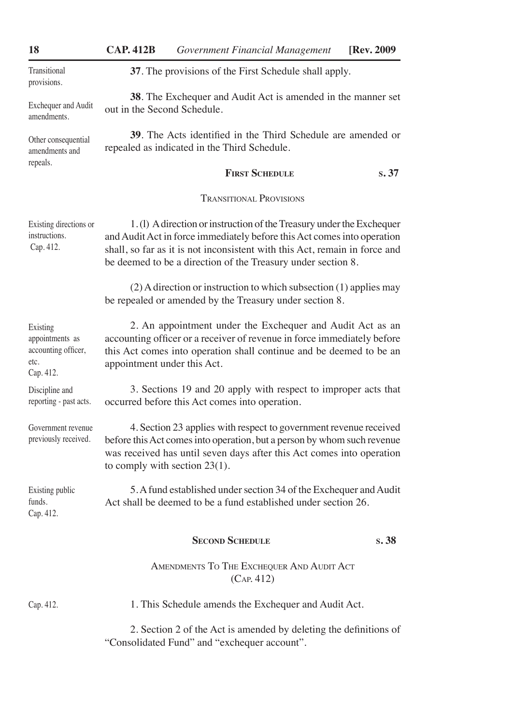| 18                                                                      | <b>CAP. 412B</b>                                                                                             | Government Financial Management                                                                                                                                                                                                                                                                | [Rev. 2009] |
|-------------------------------------------------------------------------|--------------------------------------------------------------------------------------------------------------|------------------------------------------------------------------------------------------------------------------------------------------------------------------------------------------------------------------------------------------------------------------------------------------------|-------------|
| Transitional<br>provisions.                                             |                                                                                                              | 37. The provisions of the First Schedule shall apply.                                                                                                                                                                                                                                          |             |
| Exchequer and Audit<br>amendments.                                      | 38. The Exchequer and Audit Act is amended in the manner set<br>out in the Second Schedule.                  |                                                                                                                                                                                                                                                                                                |             |
| Other consequential<br>amendments and                                   | 39. The Acts identified in the Third Schedule are amended or<br>repealed as indicated in the Third Schedule. |                                                                                                                                                                                                                                                                                                |             |
| repeals.                                                                |                                                                                                              | <b>FIRST SCHEDULE</b>                                                                                                                                                                                                                                                                          | s.37        |
|                                                                         |                                                                                                              | <b>TRANSITIONAL PROVISIONS</b>                                                                                                                                                                                                                                                                 |             |
| Existing directions or<br>instructions.<br>Cap. 412.                    |                                                                                                              | 1. (1) A direction or instruction of the Treasury under the Exchequer<br>and Audit Act in force immediately before this Act comes into operation<br>shall, so far as it is not inconsistent with this Act, remain in force and<br>be deemed to be a direction of the Treasury under section 8. |             |
|                                                                         |                                                                                                              | (2) A direction or instruction to which subsection (1) applies may<br>be repealed or amended by the Treasury under section 8.                                                                                                                                                                  |             |
| Existing<br>appointments as<br>accounting officer,<br>etc.<br>Cap. 412. | appointment under this Act.                                                                                  | 2. An appointment under the Exchequer and Audit Act as an<br>accounting officer or a receiver of revenue in force immediately before<br>this Act comes into operation shall continue and be deemed to be an                                                                                    |             |
| Discipline and<br>reporting - past acts.                                |                                                                                                              | 3. Sections 19 and 20 apply with respect to improper acts that<br>occurred before this Act comes into operation.                                                                                                                                                                               |             |
| Government revenue<br>previously received.                              |                                                                                                              | 4. Section 23 applies with respect to government revenue received<br>before this Act comes into operation, but a person by whom such revenue<br>was received has until seven days after this Act comes into operation<br>to comply with section $23(1)$ .                                      |             |
| Existing public<br>funds.<br>Cap. 412.                                  |                                                                                                              | 5. A fund established under section 34 of the Exchequer and Audit<br>Act shall be deemed to be a fund established under section 26.                                                                                                                                                            |             |
|                                                                         |                                                                                                              | <b>SECOND SCHEDULE</b>                                                                                                                                                                                                                                                                         | s.38        |
|                                                                         |                                                                                                              | AMENDMENTS TO THE EXCHEQUER AND AUDIT ACT<br>(CAP. 412)                                                                                                                                                                                                                                        |             |
| Cap. 412.                                                               |                                                                                                              | 1. This Schedule amends the Exchequer and Audit Act.                                                                                                                                                                                                                                           |             |
|                                                                         |                                                                                                              | 2. Section 2 of the Act is amended by deleting the definitions of<br>"Consolidated Fund" and "exchequer account".                                                                                                                                                                              |             |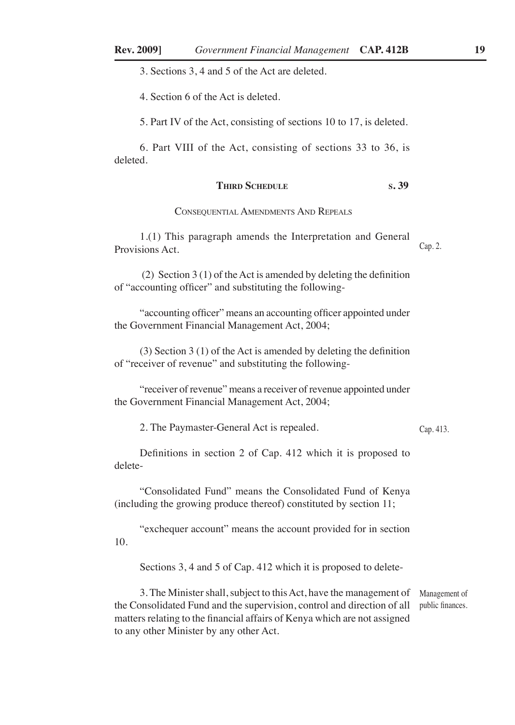3. Sections 3, 4 and 5 of the Act are deleted.

4. Section 6 of the Act is deleted.

5. Part IV of the Act, consisting of sections 10 to 17, is deleted.

6. Part VIII of the Act, consisting of sections 33 to 36, is deleted.

## **THIRD SCHEDULE** S. 39

#### Consequential Amendments And Repeals

1.(1) This paragraph amends the Interpretation and General Provisions Act. Cap. 2.

 (2) Section 3 (1) of the Act is amended by deleting the definition of "accounting officer" and substituting the following-

"accounting officer" means an accounting officer appointed under the Government Financial Management Act, 2004;

(3) Section 3 (1) of the Act is amended by deleting the definition of "receiver of revenue" and substituting the following-

"receiver of revenue" means a receiver of revenue appointed under the Government Financial Management Act, 2004;

2. The Paymaster-General Act is repealed.

Cap. 413.

Definitions in section 2 of Cap. 412 which it is proposed to delete-

"Consolidated Fund" means the Consolidated Fund of Kenya (including the growing produce thereof) constituted by section 11;

"exchequer account" means the account provided for in section 10.

Sections 3, 4 and 5 of Cap. 412 which it is proposed to delete-

3. The Minister shall, subject to this Act, have the management of Management of the Consolidated Fund and the supervision, control and direction of all matters relating to the financial affairs of Kenya which are not assigned to any other Minister by any other Act. public finances.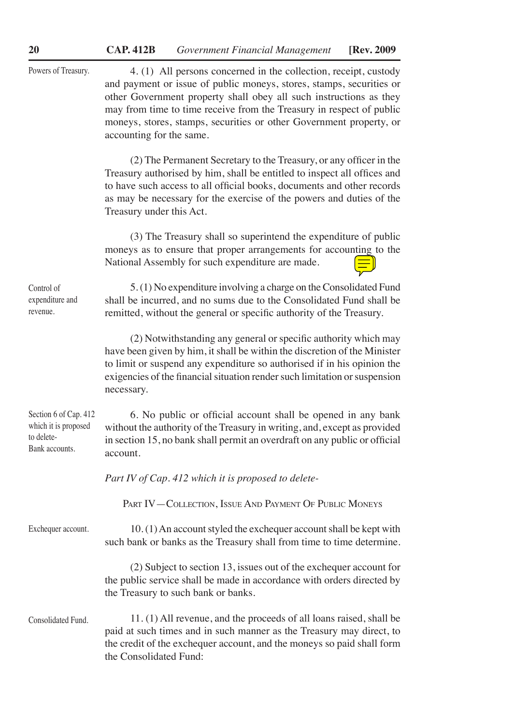| Powers of Treasury.                                                           | 4. (1) All persons concerned in the collection, receipt, custody<br>and payment or issue of public moneys, stores, stamps, securities or<br>other Government property shall obey all such instructions as they<br>may from time to time receive from the Treasury in respect of public<br>moneys, stores, stamps, securities or other Government property, or<br>accounting for the same. |
|-------------------------------------------------------------------------------|-------------------------------------------------------------------------------------------------------------------------------------------------------------------------------------------------------------------------------------------------------------------------------------------------------------------------------------------------------------------------------------------|
|                                                                               | (2) The Permanent Secretary to the Treasury, or any officer in the<br>Treasury authorised by him, shall be entitled to inspect all offices and<br>to have such access to all official books, documents and other records<br>as may be necessary for the exercise of the powers and duties of the<br>Treasury under this Act.                                                              |
|                                                                               | (3) The Treasury shall so superintend the expenditure of public<br>moneys as to ensure that proper arrangements for accounting to the<br>National Assembly for such expenditure are made.                                                                                                                                                                                                 |
| Control of<br>expenditure and<br>revenue.                                     | 5. (1) No expenditure involving a charge on the Consolidated Fund<br>shall be incurred, and no sums due to the Consolidated Fund shall be<br>remitted, without the general or specific authority of the Treasury.                                                                                                                                                                         |
|                                                                               | (2) Notwithstanding any general or specific authority which may<br>have been given by him, it shall be within the discretion of the Minister<br>to limit or suspend any expenditure so authorised if in his opinion the<br>exigencies of the financial situation render such limitation or suspension<br>necessary.                                                                       |
| Section 6 of Cap. 412<br>which it is proposed<br>to delete-<br>Bank accounts. | 6. No public or official account shall be opened in any bank<br>without the authority of the Treasury in writing, and, except as provided<br>in section 15, no bank shall permit an overdraft on any public or official<br>account.                                                                                                                                                       |
|                                                                               | Part IV of Cap. 412 which it is proposed to delete-                                                                                                                                                                                                                                                                                                                                       |
|                                                                               | PART IV-COLLECTION, ISSUE AND PAYMENT OF PUBLIC MONEYS                                                                                                                                                                                                                                                                                                                                    |
| Exchequer account.                                                            | 10. (1) An account styled the exchequer account shall be kept with<br>such bank or banks as the Treasury shall from time to time determine.                                                                                                                                                                                                                                               |
|                                                                               | (2) Subject to section 13, issues out of the exchequer account for<br>the public service shall be made in accordance with orders directed by<br>the Treasury to such bank or banks.                                                                                                                                                                                                       |
| Consolidated Fund.                                                            | 11. (1) All revenue, and the proceeds of all loans raised, shall be<br>paid at such times and in such manner as the Treasury may direct, to<br>the credit of the exchequer account, and the moneys so paid shall form<br>the Consolidated Fund:                                                                                                                                           |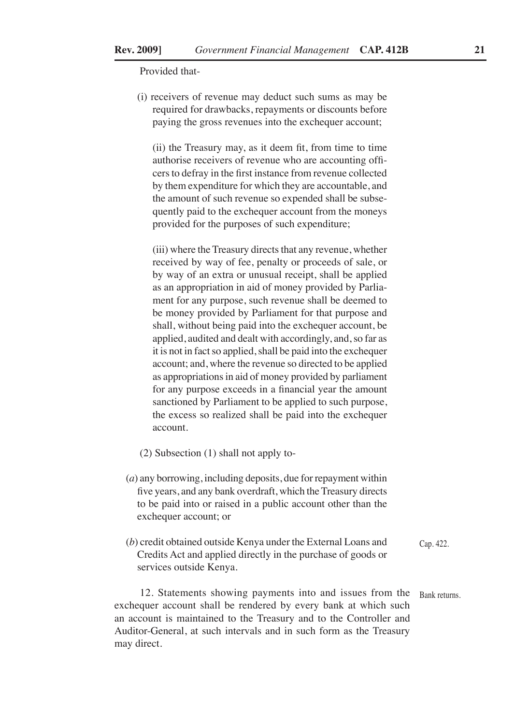Provided that-

(i) receivers of revenue may deduct such sums as may be required for drawbacks, repayments or discounts before paying the gross revenues into the exchequer account;

(ii) the Treasury may, as it deem fit, from time to time authorise receivers of revenue who are accounting officers to defray in the first instance from revenue collected by them expenditure for which they are accountable, and the amount of such revenue so expended shall be subsequently paid to the exchequer account from the moneys provided for the purposes of such expenditure;

(iii) where the Treasury directs that any revenue, whether received by way of fee, penalty or proceeds of sale, or by way of an extra or unusual receipt, shall be applied as an appropriation in aid of money provided by Parliament for any purpose, such revenue shall be deemed to be money provided by Parliament for that purpose and shall, without being paid into the exchequer account, be applied, audited and dealt with accordingly, and, so far as it is not in fact so applied, shall be paid into the exchequer account; and, where the revenue so directed to be applied as appropriations in aid of money provided by parliament for any purpose exceeds in a financial year the amount sanctioned by Parliament to be applied to such purpose, the excess so realized shall be paid into the exchequer account.

- (2) Subsection (1) shall not apply to-
- (*a*) any borrowing, including deposits, due for repayment within five years, and any bank overdraft, which the Treasury directs to be paid into or raised in a public account other than the exchequer account; or
- (*b*) credit obtained outside Kenya under the External Loans and Credits Act and applied directly in the purchase of goods or services outside Kenya. Cap. 422.

12. Statements showing payments into and issues from the Bank returns.exchequer account shall be rendered by every bank at which such an account is maintained to the Treasury and to the Controller and Auditor-General, at such intervals and in such form as the Treasury may direct.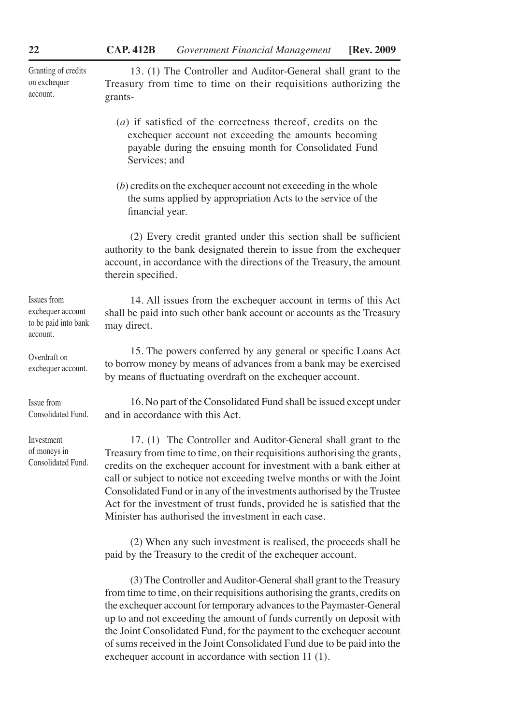Granting of credits on exchequer account.

13. (1) The Controller and Auditor-General shall grant to the Treasury from time to time on their requisitions authorizing the grants-

- (*a*) if satisfied of the correctness thereof, credits on the exchequer account not exceeding the amounts becoming payable during the ensuing month for Consolidated Fund Services; and
- (*b*) credits on the exchequer account not exceeding in the whole the sums applied by appropriation Acts to the service of the financial year.

(2) Every credit granted under this section shall be sufficient authority to the bank designated therein to issue from the exchequer account, in accordance with the directions of the Treasury, the amount therein specified.

14. All issues from the exchequer account in terms of this Act shall be paid into such other bank account or accounts as the Treasury may direct.

15. The powers conferred by any general or specific Loans Act to borrow money by means of advances from a bank may be exercised by means of fluctuating overdraft on the exchequer account.

16. No part of the Consolidated Fund shall be issued except under and in accordance with this Act.

17. (1) The Controller and Auditor-General shall grant to the Treasury from time to time, on their requisitions authorising the grants, credits on the exchequer account for investment with a bank either at call or subject to notice not exceeding twelve months or with the Joint Consolidated Fund or in any of the investments authorised by the Trustee Act for the investment of trust funds, provided he is satisfied that the Minister has authorised the investment in each case.

(2) When any such investment is realised, the proceeds shall be paid by the Treasury to the credit of the exchequer account.

(3) The Controller and Auditor-General shall grant to the Treasury from time to time, on their requisitions authorising the grants, credits on the exchequer account for temporary advances to the Paymaster-General up to and not exceeding the amount of funds currently on deposit with the Joint Consolidated Fund, for the payment to the exchequer account of sums received in the Joint Consolidated Fund due to be paid into the exchequer account in accordance with section 11 (1).

Issues from exchequer account to be paid into bank account.

Overdraft on exchequer account.

Issue from Consolidated Fund.

Investment of moneys in Consolidated Fund.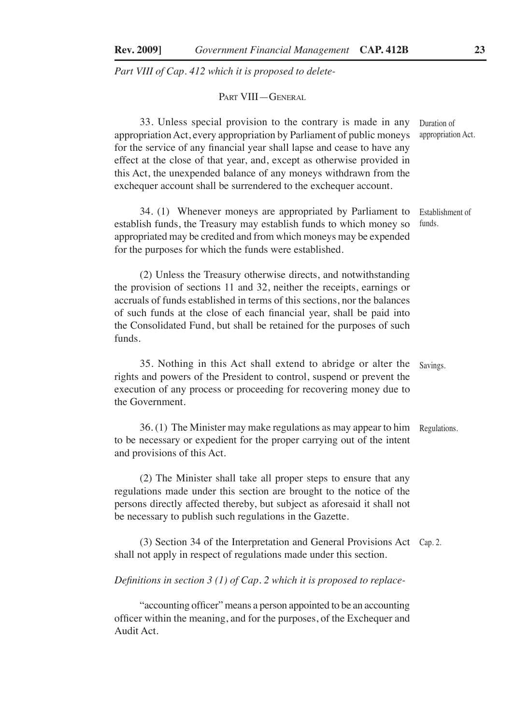*Part VIII of Cap. 412 which it is proposed to delete-*

Part VIII—General

33. Unless special provision to the contrary is made in any appropriation Act, every appropriation by Parliament of public moneys for the service of any financial year shall lapse and cease to have any effect at the close of that year, and, except as otherwise provided in this Act, the unexpended balance of any moneys withdrawn from the exchequer account shall be surrendered to the exchequer account. Duration of appropriation Act.

34. (1) Whenever moneys are appropriated by Parliament to establish funds, the Treasury may establish funds to which money so appropriated may be credited and from which moneys may be expended for the purposes for which the funds were established. Establishment of funds.

(2) Unless the Treasury otherwise directs, and notwithstanding the provision of sections 11 and 32, neither the receipts, earnings or accruals of funds established in terms of this sections, nor the balances of such funds at the close of each financial year, shall be paid into the Consolidated Fund, but shall be retained for the purposes of such funds.

35. Nothing in this Act shall extend to abridge or alter the rights and powers of the President to control, suspend or prevent the execution of any process or proceeding for recovering money due to the Government. Savings.

36. (1) The Minister may make regulations as may appear to him to be necessary or expedient for the proper carrying out of the intent and provisions of this Act. Regulations.

(2) The Minister shall take all proper steps to ensure that any regulations made under this section are brought to the notice of the persons directly affected thereby, but subject as aforesaid it shall not be necessary to publish such regulations in the Gazette.

(3) Section 34 of the Interpretation and General Provisions Act Cap. 2.shall not apply in respect of regulations made under this section.

*Definitions in section 3 (1) of Cap. 2 which it is proposed to replace-*

"accounting officer" means a person appointed to be an accounting officer within the meaning, and for the purposes, of the Exchequer and Audit Act.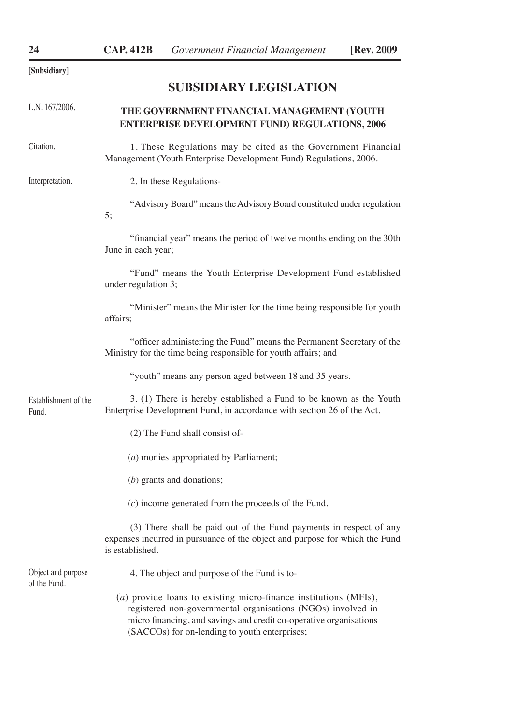[**Subsidiary**]

# **SUBSIDIARY LEGISLATION**

| L.N. 167/2006.                     | THE GOVERNMENT FINANCIAL MANAGEMENT (YOUTH<br><b>ENTERPRISE DEVELOPMENT FUND) REGULATIONS, 2006</b>                                                                  |
|------------------------------------|----------------------------------------------------------------------------------------------------------------------------------------------------------------------|
| Citation.                          | 1. These Regulations may be cited as the Government Financial<br>Management (Youth Enterprise Development Fund) Regulations, 2006.                                   |
| Interpretation.                    | 2. In these Regulations-                                                                                                                                             |
|                                    | "Advisory Board" means the Advisory Board constituted under regulation<br>5;                                                                                         |
|                                    | "financial year" means the period of twelve months ending on the 30th<br>June in each year;                                                                          |
|                                    | "Fund" means the Youth Enterprise Development Fund established<br>under regulation 3;                                                                                |
|                                    | "Minister" means the Minister for the time being responsible for youth<br>affairs:                                                                                   |
|                                    | "officer administering the Fund" means the Permanent Secretary of the<br>Ministry for the time being responsible for youth affairs; and                              |
|                                    | "youth" means any person aged between 18 and 35 years.                                                                                                               |
| Establishment of the<br>Fund.      | 3. (1) There is hereby established a Fund to be known as the Youth<br>Enterprise Development Fund, in accordance with section 26 of the Act.                         |
|                                    | (2) The Fund shall consist of-                                                                                                                                       |
|                                    | (a) monies appropriated by Parliament;                                                                                                                               |
|                                    | $(b)$ grants and donations;                                                                                                                                          |
|                                    | $(c)$ income generated from the proceeds of the Fund.                                                                                                                |
|                                    | (3) There shall be paid out of the Fund payments in respect of any<br>expenses incurred in pursuance of the object and purpose for which the Fund<br>is established. |
| Object and purpose<br>of the Fund. | 4. The object and purpose of the Fund is to-<br>.<br>.<br>$\sim$<br><b>Contract Contract</b>                                                                         |

(*a*) provide loans to existing micro-finance institutions (MFIs), registered non-governmental organisations (NGOs) involved in micro financing, and savings and credit co-operative organisations (SACCOs) for on-lending to youth enterprises;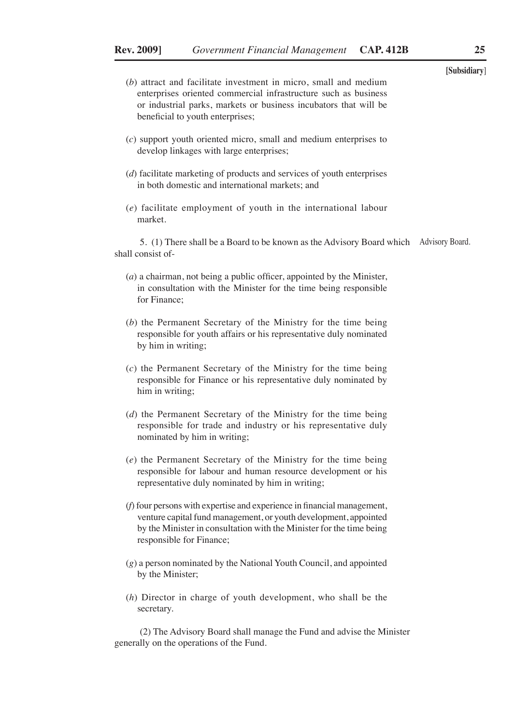- (*b*) attract and facilitate investment in micro, small and medium enterprises oriented commercial infrastructure such as business or industrial parks, markets or business incubators that will be beneficial to youth enterprises;
- (*c*) support youth oriented micro, small and medium enterprises to develop linkages with large enterprises;
- (*d*) facilitate marketing of products and services of youth enterprises in both domestic and international markets; and
- (*e*) facilitate employment of youth in the international labour market.

5. (1) There shall be a Board to be known as the Advisory Board which Advisory Board.shall consist of-

- (*a*) a chairman, not being a public officer, appointed by the Minister, in consultation with the Minister for the time being responsible for Finance;
- (*b*) the Permanent Secretary of the Ministry for the time being responsible for youth affairs or his representative duly nominated by him in writing;
- (*c*) the Permanent Secretary of the Ministry for the time being responsible for Finance or his representative duly nominated by him in writing;
- (*d*) the Permanent Secretary of the Ministry for the time being responsible for trade and industry or his representative duly nominated by him in writing;
- (*e*) the Permanent Secretary of the Ministry for the time being responsible for labour and human resource development or his representative duly nominated by him in writing;
- (*f*) four persons with expertise and experience in financial management, venture capital fund management, or youth development, appointed by the Minister in consultation with the Minister for the time being responsible for Finance;
- (*g*) a person nominated by the National Youth Council, and appointed by the Minister;
- (*h*) Director in charge of youth development, who shall be the secretary.

(2) The Advisory Board shall manage the Fund and advise the Minister generally on the operations of the Fund.

**[Subsidiary**]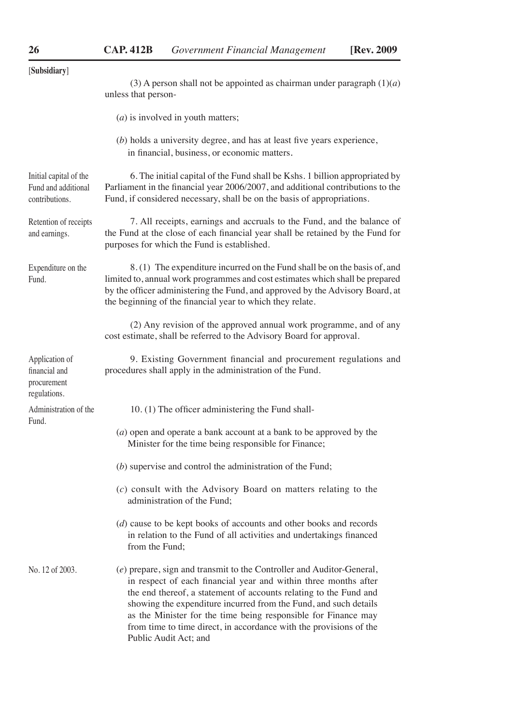| [Subsidiary]                                                    | (3) A person shall not be appointed as chairman under paragraph $(1)(a)$                                                                                                                                                                                                                                                                                                                                                                           |
|-----------------------------------------------------------------|----------------------------------------------------------------------------------------------------------------------------------------------------------------------------------------------------------------------------------------------------------------------------------------------------------------------------------------------------------------------------------------------------------------------------------------------------|
|                                                                 | unless that person-                                                                                                                                                                                                                                                                                                                                                                                                                                |
|                                                                 | $(a)$ is involved in youth matters;                                                                                                                                                                                                                                                                                                                                                                                                                |
|                                                                 | $(b)$ holds a university degree, and has at least five years experience,<br>in financial, business, or economic matters.                                                                                                                                                                                                                                                                                                                           |
| Initial capital of the<br>Fund and additional<br>contributions. | 6. The initial capital of the Fund shall be Kshs. 1 billion appropriated by<br>Parliament in the financial year 2006/2007, and additional contributions to the<br>Fund, if considered necessary, shall be on the basis of appropriations.                                                                                                                                                                                                          |
| Retention of receipts<br>and earnings.                          | 7. All receipts, earnings and accruals to the Fund, and the balance of<br>the Fund at the close of each financial year shall be retained by the Fund for<br>purposes for which the Fund is established.                                                                                                                                                                                                                                            |
| Expenditure on the<br>Fund.                                     | 8. (1) The expenditure incurred on the Fund shall be on the basis of, and<br>limited to, annual work programmes and cost estimates which shall be prepared<br>by the officer administering the Fund, and approved by the Advisory Board, at<br>the beginning of the financial year to which they relate.                                                                                                                                           |
|                                                                 | (2) Any revision of the approved annual work programme, and of any<br>cost estimate, shall be referred to the Advisory Board for approval.                                                                                                                                                                                                                                                                                                         |
| Application of<br>financial and<br>procurement<br>regulations.  | 9. Existing Government financial and procurement regulations and<br>procedures shall apply in the administration of the Fund.                                                                                                                                                                                                                                                                                                                      |
| Administration of the                                           | 10. (1) The officer administering the Fund shall-                                                                                                                                                                                                                                                                                                                                                                                                  |
| Fund.                                                           | $(a)$ open and operate a bank account at a bank to be approved by the<br>Minister for the time being responsible for Finance;                                                                                                                                                                                                                                                                                                                      |
|                                                                 | $(b)$ supervise and control the administration of the Fund;                                                                                                                                                                                                                                                                                                                                                                                        |
|                                                                 | $(c)$ consult with the Advisory Board on matters relating to the<br>administration of the Fund;                                                                                                                                                                                                                                                                                                                                                    |
|                                                                 | $(d)$ cause to be kept books of accounts and other books and records<br>in relation to the Fund of all activities and undertakings financed<br>from the Fund:                                                                                                                                                                                                                                                                                      |
| No. 12 of 2003.                                                 | (e) prepare, sign and transmit to the Controller and Auditor-General,<br>in respect of each financial year and within three months after<br>the end thereof, a statement of accounts relating to the Fund and<br>showing the expenditure incurred from the Fund, and such details<br>as the Minister for the time being responsible for Finance may<br>from time to time direct, in accordance with the provisions of the<br>Public Audit Act; and |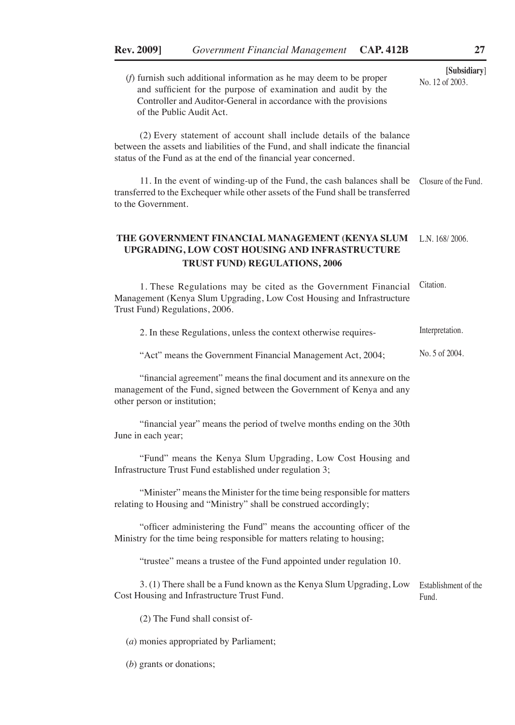**[Subsidiary**] (*f*) furnish such additional information as he may deem to be proper and sufficient for the purpose of examination and audit by the Controller and Auditor-General in accordance with the provisions of the Public Audit Act.

(2) Every statement of account shall include details of the balance between the assets and liabilities of the Fund, and shall indicate the financial status of the Fund as at the end of the financial year concerned.

11. In the event of winding-up of the Fund, the cash balances shall be transferred to the Exchequer while other assets of the Fund shall be transferred to the Government. Closure of the Fund.

### **THE GOVERNMENT FINANCIAL MANAGEMENT (KENYA SLUM**  L.N. 168/ 2006. **UPGRADING, LOW COST HOUSING AND INFRASTRUCTURE TRUST FUND) REGULATIONS, 2006**

1. These Regulations may be cited as the Government Financial Citation. Management (Kenya Slum Upgrading, Low Cost Housing and Infrastructure Trust Fund) Regulations, 2006.

| 2. In these Regulations, unless the context otherwise requires- | Interpretation. |
|-----------------------------------------------------------------|-----------------|
|-----------------------------------------------------------------|-----------------|

"Act" means the Government Financial Management Act, 2004; No. 5 of 2004.

"financial agreement" means the final document and its annexure on the management of the Fund, signed between the Government of Kenya and any other person or institution;

"financial year" means the period of twelve months ending on the 30th June in each year;

"Fund" means the Kenya Slum Upgrading, Low Cost Housing and Infrastructure Trust Fund established under regulation 3;

"Minister" means the Minister for the time being responsible for matters relating to Housing and "Ministry" shall be construed accordingly;

"officer administering the Fund" means the accounting officer of the Ministry for the time being responsible for matters relating to housing;

"trustee" means a trustee of the Fund appointed under regulation 10.

3. (1) There shall be a Fund known as the Kenya Slum Upgrading, Low Cost Housing and Infrastructure Trust Fund. Establishment of the Fund.

(2) The Fund shall consist of-

(*a*) monies appropriated by Parliament;

(*b*) grants or donations;

No. 12 of 2003.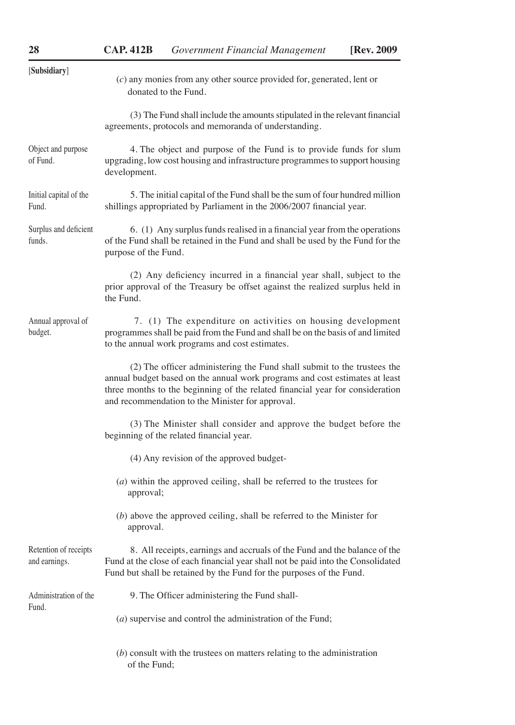| [Subsidiary]                           | $(c)$ any monies from any other source provided for, generated, lent or<br>donated to the Fund.                                                                                                                                                                                             |
|----------------------------------------|---------------------------------------------------------------------------------------------------------------------------------------------------------------------------------------------------------------------------------------------------------------------------------------------|
|                                        | (3) The Fund shall include the amounts stipulated in the relevant financial<br>agreements, protocols and memoranda of understanding.                                                                                                                                                        |
| Object and purpose<br>of Fund.         | 4. The object and purpose of the Fund is to provide funds for slum<br>upgrading, low cost housing and infrastructure programmes to support housing<br>development.                                                                                                                          |
| Initial capital of the<br>Fund.        | 5. The initial capital of the Fund shall be the sum of four hundred million<br>shillings appropriated by Parliament in the 2006/2007 financial year.                                                                                                                                        |
| Surplus and deficient<br>funds.        | 6. (1) Any surplus funds realised in a financial year from the operations<br>of the Fund shall be retained in the Fund and shall be used by the Fund for the<br>purpose of the Fund.                                                                                                        |
|                                        | (2) Any deficiency incurred in a financial year shall, subject to the<br>prior approval of the Treasury be offset against the realized surplus held in<br>the Fund.                                                                                                                         |
| Annual approval of<br>budget.          | 7. (1) The expenditure on activities on housing development<br>programmes shall be paid from the Fund and shall be on the basis of and limited<br>to the annual work programs and cost estimates.                                                                                           |
|                                        | (2) The officer administering the Fund shall submit to the trustees the<br>annual budget based on the annual work programs and cost estimates at least<br>three months to the beginning of the related financial year for consideration<br>and recommendation to the Minister for approval. |
|                                        | (3) The Minister shall consider and approve the budget before the<br>beginning of the related financial year.                                                                                                                                                                               |
|                                        | (4) Any revision of the approved budget-                                                                                                                                                                                                                                                    |
|                                        | $(a)$ within the approved ceiling, shall be referred to the trustees for<br>approval;                                                                                                                                                                                                       |
|                                        | $(b)$ above the approved ceiling, shall be referred to the Minister for<br>approval.                                                                                                                                                                                                        |
| Retention of receipts<br>and earnings. | 8. All receipts, earnings and accruals of the Fund and the balance of the<br>Fund at the close of each financial year shall not be paid into the Consolidated<br>Fund but shall be retained by the Fund for the purposes of the Fund.                                                       |
| Administration of the                  | 9. The Officer administering the Fund shall-                                                                                                                                                                                                                                                |
| Fund.                                  | $(a)$ supervise and control the administration of the Fund;                                                                                                                                                                                                                                 |
|                                        | $(b)$ consult with the trustees on matters relating to the administration<br>of the Fund;                                                                                                                                                                                                   |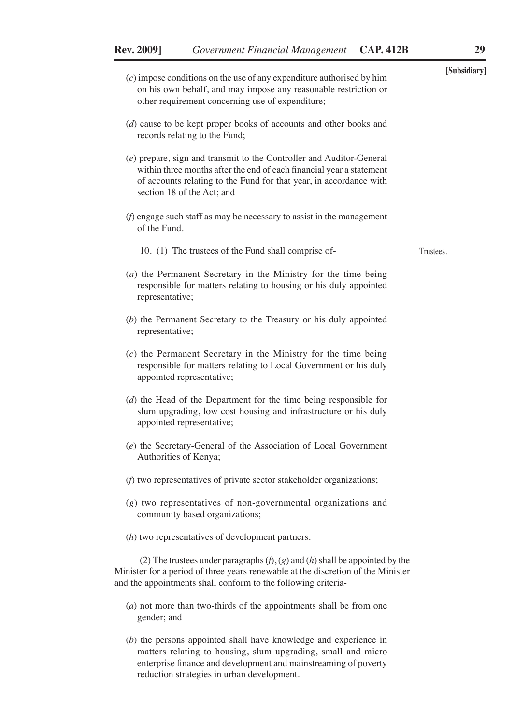- **[Subsidiary**] (*c*) impose conditions on the use of any expenditure authorised by him on his own behalf, and may impose any reasonable restriction or other requirement concerning use of expenditure;
- (*d*) cause to be kept proper books of accounts and other books and records relating to the Fund;
- (*e*) prepare, sign and transmit to the Controller and Auditor-General within three months after the end of each financial year a statement of accounts relating to the Fund for that year, in accordance with section 18 of the Act; and
- (*f*) engage such staff as may be necessary to assist in the management of the Fund.
	- 10. (1) The trustees of the Fund shall comprise of-
- (*a*) the Permanent Secretary in the Ministry for the time being responsible for matters relating to housing or his duly appointed representative;
- (*b*) the Permanent Secretary to the Treasury or his duly appointed representative;
- (*c*) the Permanent Secretary in the Ministry for the time being responsible for matters relating to Local Government or his duly appointed representative;
- (*d*) the Head of the Department for the time being responsible for slum upgrading, low cost housing and infrastructure or his duly appointed representative;
- (*e*) the Secretary-General of the Association of Local Government Authorities of Kenya;
- (*f*) two representatives of private sector stakeholder organizations;
- (*g*) two representatives of non-governmental organizations and community based organizations;
- (*h*) two representatives of development partners.

(2) The trustees under paragraphs (*f*), (*g*) and (*h*) shall be appointed by the Minister for a period of three years renewable at the discretion of the Minister and the appointments shall conform to the following criteria-

- (*a*) not more than two-thirds of the appointments shall be from one gender; and
- (*b*) the persons appointed shall have knowledge and experience in matters relating to housing, slum upgrading, small and micro enterprise finance and development and mainstreaming of poverty reduction strategies in urban development.

Trustees.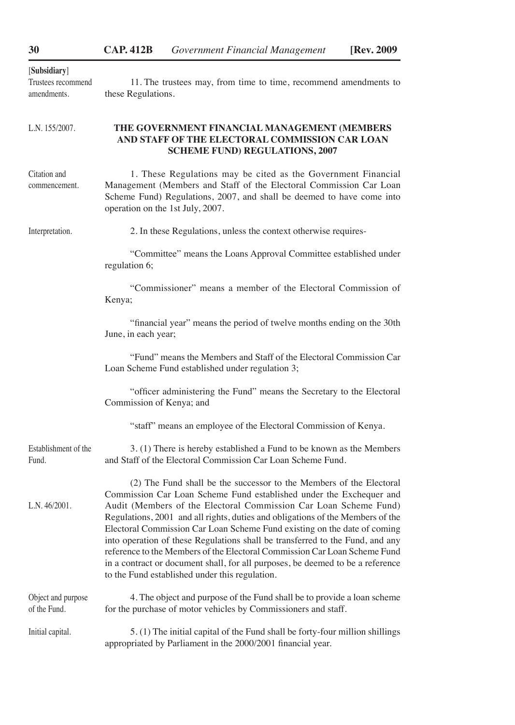| [Subsidiary]<br>Trustees recommend<br>amendments. | 11. The trustees may, from time to time, recommend amendments to<br>these Regulations.                                                                                                                                                                                                                                                                                                                                                                                                                                                                                                                                                                                         |
|---------------------------------------------------|--------------------------------------------------------------------------------------------------------------------------------------------------------------------------------------------------------------------------------------------------------------------------------------------------------------------------------------------------------------------------------------------------------------------------------------------------------------------------------------------------------------------------------------------------------------------------------------------------------------------------------------------------------------------------------|
| L.N. 155/2007.                                    | THE GOVERNMENT FINANCIAL MANAGEMENT (MEMBERS<br>AND STAFF OF THE ELECTORAL COMMISSION CAR LOAN<br><b>SCHEME FUND) REGULATIONS, 2007</b>                                                                                                                                                                                                                                                                                                                                                                                                                                                                                                                                        |
| Citation and<br>commencement.                     | 1. These Regulations may be cited as the Government Financial<br>Management (Members and Staff of the Electoral Commission Car Loan<br>Scheme Fund) Regulations, 2007, and shall be deemed to have come into<br>operation on the 1st July, 2007.                                                                                                                                                                                                                                                                                                                                                                                                                               |
| Interpretation.                                   | 2. In these Regulations, unless the context otherwise requires-                                                                                                                                                                                                                                                                                                                                                                                                                                                                                                                                                                                                                |
|                                                   | "Committee" means the Loans Approval Committee established under<br>regulation 6;                                                                                                                                                                                                                                                                                                                                                                                                                                                                                                                                                                                              |
|                                                   | "Commissioner" means a member of the Electoral Commission of<br>Kenya;                                                                                                                                                                                                                                                                                                                                                                                                                                                                                                                                                                                                         |
|                                                   | "financial year" means the period of twelve months ending on the 30th<br>June, in each year;                                                                                                                                                                                                                                                                                                                                                                                                                                                                                                                                                                                   |
|                                                   | "Fund" means the Members and Staff of the Electoral Commission Car<br>Loan Scheme Fund established under regulation 3;                                                                                                                                                                                                                                                                                                                                                                                                                                                                                                                                                         |
|                                                   | "officer administering the Fund" means the Secretary to the Electoral<br>Commission of Kenya; and                                                                                                                                                                                                                                                                                                                                                                                                                                                                                                                                                                              |
|                                                   | "staff" means an employee of the Electoral Commission of Kenya.                                                                                                                                                                                                                                                                                                                                                                                                                                                                                                                                                                                                                |
| Establishment of the<br>Fund.                     | 3. (1) There is hereby established a Fund to be known as the Members<br>and Staff of the Electoral Commission Car Loan Scheme Fund.                                                                                                                                                                                                                                                                                                                                                                                                                                                                                                                                            |
| L.N.46/2001.                                      | (2) The Fund shall be the successor to the Members of the Electoral<br>Commission Car Loan Scheme Fund established under the Exchequer and<br>Audit (Members of the Electoral Commission Car Loan Scheme Fund)<br>Regulations, 2001 and all rights, duties and obligations of the Members of the<br>Electoral Commission Car Loan Scheme Fund existing on the date of coming<br>into operation of these Regulations shall be transferred to the Fund, and any<br>reference to the Members of the Electoral Commission Car Loan Scheme Fund<br>in a contract or document shall, for all purposes, be deemed to be a reference<br>to the Fund established under this regulation. |
| Object and purpose<br>of the Fund.                | 4. The object and purpose of the Fund shall be to provide a loan scheme<br>for the purchase of motor vehicles by Commissioners and staff.                                                                                                                                                                                                                                                                                                                                                                                                                                                                                                                                      |
| Initial capital.                                  | 5. (1) The initial capital of the Fund shall be forty-four million shillings<br>appropriated by Parliament in the 2000/2001 financial year.                                                                                                                                                                                                                                                                                                                                                                                                                                                                                                                                    |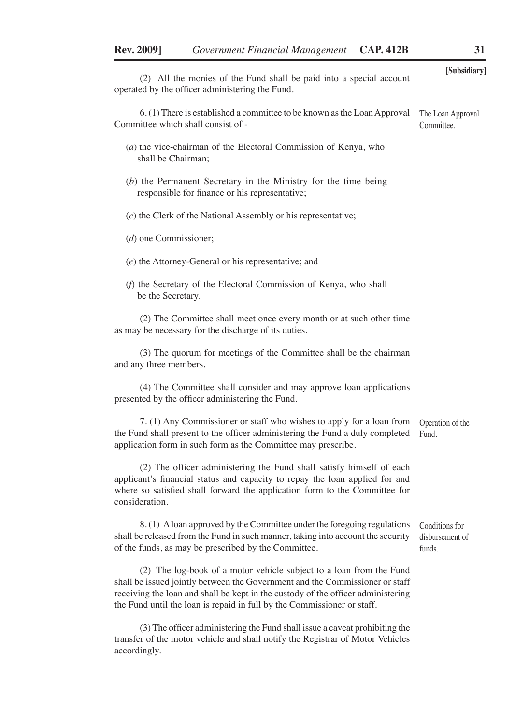|                                                                                                                             | [Subsidiary]                    |
|-----------------------------------------------------------------------------------------------------------------------------|---------------------------------|
| (2) All the monies of the Fund shall be paid into a special account<br>operated by the officer administering the Fund.      |                                 |
| 6. (1) There is established a committee to be known as the Loan Approval<br>Committee which shall consist of -              | The Loan Approval<br>Committee. |
| $(a)$ the vice-chairman of the Electoral Commission of Kenya, who<br>shall be Chairman;                                     |                                 |
| (b) the Permanent Secretary in the Ministry for the time being<br>responsible for finance or his representative;            |                                 |
| $(c)$ the Clerk of the National Assembly or his representative;                                                             |                                 |
| $(d)$ one Commissioner;                                                                                                     |                                 |
| $(e)$ the Attorney-General or his representative; and                                                                       |                                 |
| (f) the Secretary of the Electoral Commission of Kenya, who shall<br>be the Secretary.                                      |                                 |
| (2) The Committee shall meet once every month or at such other time<br>as may be necessary for the discharge of its duties. |                                 |
| (3) The quorum for meetings of the Committee shall be the chairman<br>and any three members.                                |                                 |
| (4) The Committee shall consider and may approve loan applications                                                          |                                 |

(4) The Committee shall consider and may approve loan applications presented by the officer administering the Fund.

7. (1) Any Commissioner or staff who wishes to apply for a loan from the Fund shall present to the officer administering the Fund a duly completed application form in such form as the Committee may prescribe. Operation of the Fund.

(2) The officer administering the Fund shall satisfy himself of each applicant's financial status and capacity to repay the loan applied for and where so satisfied shall forward the application form to the Committee for consideration.

8. (1) A loan approved by the Committee under the foregoing regulations shall be released from the Fund in such manner, taking into account the security of the funds, as may be prescribed by the Committee. funds.

(2) The log-book of a motor vehicle subject to a loan from the Fund shall be issued jointly between the Government and the Commissioner or staff receiving the loan and shall be kept in the custody of the officer administering the Fund until the loan is repaid in full by the Commissioner or staff.

(3) The officer administering the Fund shall issue a caveat prohibiting the transfer of the motor vehicle and shall notify the Registrar of Motor Vehicles accordingly.

Conditions for disbursement of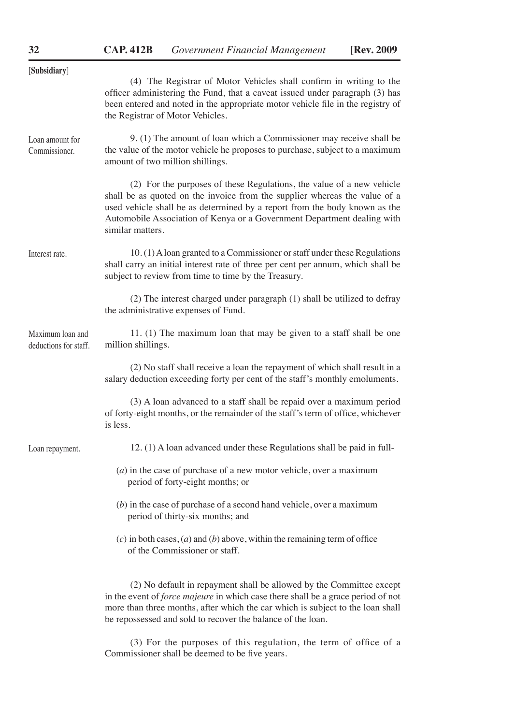| [Subsidiary]                              |                                                                                                                                                                                                                                                                                                                                  |
|-------------------------------------------|----------------------------------------------------------------------------------------------------------------------------------------------------------------------------------------------------------------------------------------------------------------------------------------------------------------------------------|
|                                           | (4) The Registrar of Motor Vehicles shall confirm in writing to the<br>officer administering the Fund, that a caveat issued under paragraph (3) has<br>been entered and noted in the appropriate motor vehicle file in the registry of<br>the Registrar of Motor Vehicles.                                                       |
| Loan amount for<br>Commissioner.          | 9. (1) The amount of loan which a Commissioner may receive shall be<br>the value of the motor vehicle he proposes to purchase, subject to a maximum<br>amount of two million shillings.                                                                                                                                          |
|                                           | (2) For the purposes of these Regulations, the value of a new vehicle<br>shall be as quoted on the invoice from the supplier whereas the value of a<br>used vehicle shall be as determined by a report from the body known as the<br>Automobile Association of Kenya or a Government Department dealing with<br>similar matters. |
| Interest rate.                            | 10. (1) A loan granted to a Commissioner or staff under these Regulations<br>shall carry an initial interest rate of three per cent per annum, which shall be<br>subject to review from time to time by the Treasury.                                                                                                            |
|                                           | (2) The interest charged under paragraph (1) shall be utilized to defray<br>the administrative expenses of Fund.                                                                                                                                                                                                                 |
| Maximum loan and<br>deductions for staff. | 11. (1) The maximum loan that may be given to a staff shall be one<br>million shillings.                                                                                                                                                                                                                                         |
|                                           | (2) No staff shall receive a loan the repayment of which shall result in a<br>salary deduction exceeding forty per cent of the staff's monthly emoluments.                                                                                                                                                                       |
|                                           | (3) A loan advanced to a staff shall be repaid over a maximum period<br>of forty-eight months, or the remainder of the staff's term of office, whichever<br>is less.                                                                                                                                                             |
| Loan repayment.                           | 12. (1) A loan advanced under these Regulations shall be paid in full-                                                                                                                                                                                                                                                           |
|                                           | $(a)$ in the case of purchase of a new motor vehicle, over a maximum<br>period of forty-eight months; or                                                                                                                                                                                                                         |
|                                           | $(b)$ in the case of purchase of a second hand vehicle, over a maximum<br>period of thirty-six months; and                                                                                                                                                                                                                       |
|                                           | (c) in both cases, (a) and (b) above, within the remaining term of office<br>of the Commissioner or staff.                                                                                                                                                                                                                       |
|                                           | (2) No default in repayment shall be allowed by the Committee except<br>in the event of <i>force majeure</i> in which case there shall be a grace period of not<br>more than three months, after which the car which is subject to the loan shall<br>be repossessed and sold to recover the balance of the loan.                 |

(3) For the purposes of this regulation, the term of office of a Commissioner shall be deemed to be five years.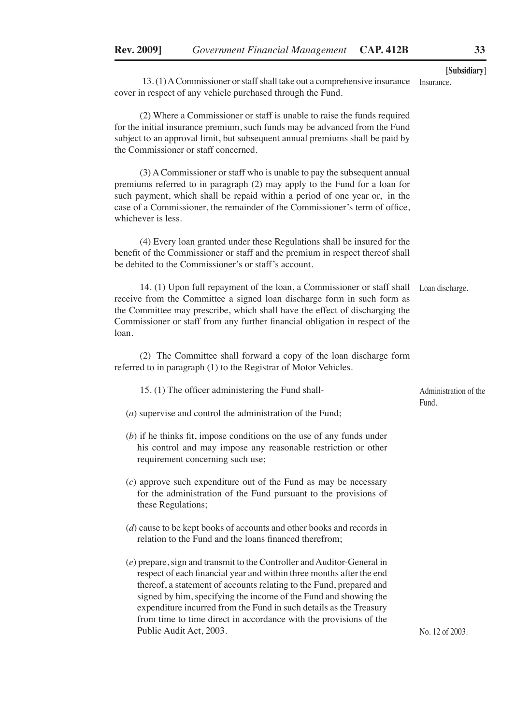13. (1) A Commissioner or staff shall take out a comprehensive insurance Insurance. cover in respect of any vehicle purchased through the Fund.

(2) Where a Commissioner or staff is unable to raise the funds required for the initial insurance premium, such funds may be advanced from the Fund subject to an approval limit, but subsequent annual premiums shall be paid by the Commissioner or staff concerned.

(3) A Commissioner or staff who is unable to pay the subsequent annual premiums referred to in paragraph (2) may apply to the Fund for a loan for such payment, which shall be repaid within a period of one year or, in the case of a Commissioner, the remainder of the Commissioner's term of office, whichever is less.

(4) Every loan granted under these Regulations shall be insured for the benefit of the Commissioner or staff and the premium in respect thereof shall be debited to the Commissioner's or staff's account.

14. (1) Upon full repayment of the loan, a Commissioner or staff shall receive from the Committee a signed loan discharge form in such form as the Committee may prescribe, which shall have the effect of discharging the Commissioner or staff from any further financial obligation in respect of the loan. Loan discharge.

(2) The Committee shall forward a copy of the loan discharge form referred to in paragraph (1) to the Registrar of Motor Vehicles.

| 15. (1) The officer administering the Fund shall- | Administration of the |  |
|---------------------------------------------------|-----------------------|--|
|                                                   | <b>Fund</b>           |  |

- (*a*) supervise and control the administration of the Fund;
- (*b*) if he thinks fit, impose conditions on the use of any funds under his control and may impose any reasonable restriction or other requirement concerning such use;
- (*c*) approve such expenditure out of the Fund as may be necessary for the administration of the Fund pursuant to the provisions of these Regulations;
- (*d*) cause to be kept books of accounts and other books and records in relation to the Fund and the loans financed therefrom;
- (*e*) prepare, sign and transmit to the Controller and Auditor-General in respect of each financial year and within three months after the end thereof, a statement of accounts relating to the Fund, prepared and signed by him, specifying the income of the Fund and showing the expenditure incurred from the Fund in such details as the Treasury from time to time direct in accordance with the provisions of the Public Audit Act, 2003.

No. 12 of 2003.

**[Subsidiary**]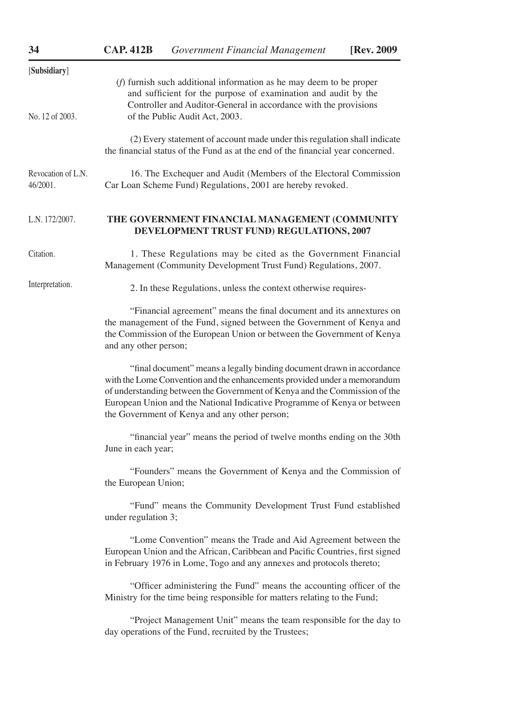| 34                                                                                                                                                                                                                                                               | <b>CAP. 412B</b>      | <b>Government Financial Management</b>                                                                                                                                                                                                                                                                                                                        | [Rev. 2009 |  |  |  |
|------------------------------------------------------------------------------------------------------------------------------------------------------------------------------------------------------------------------------------------------------------------|-----------------------|---------------------------------------------------------------------------------------------------------------------------------------------------------------------------------------------------------------------------------------------------------------------------------------------------------------------------------------------------------------|------------|--|--|--|
| [Subsidiary]                                                                                                                                                                                                                                                     |                       |                                                                                                                                                                                                                                                                                                                                                               |            |  |  |  |
| $(f)$ furnish such additional information as he may deem to be proper<br>and sufficient for the purpose of examination and audit by the<br>Controller and Auditor-General in accordance with the provisions<br>No. 12 of 2003.<br>of the Public Audit Act, 2003. |                       |                                                                                                                                                                                                                                                                                                                                                               |            |  |  |  |
|                                                                                                                                                                                                                                                                  |                       | (2) Every statement of account made under this regulation shall indicate<br>the financial status of the Fund as at the end of the financial year concerned.                                                                                                                                                                                                   |            |  |  |  |
| Revocation of L.N.<br>46/2001.                                                                                                                                                                                                                                   |                       | 16. The Exchequer and Audit (Members of the Electoral Commission<br>Car Loan Scheme Fund) Regulations, 2001 are hereby revoked.                                                                                                                                                                                                                               |            |  |  |  |
| L.N. 172/2007.                                                                                                                                                                                                                                                   |                       | THE GOVERNMENT FINANCIAL MANAGEMENT (COMMUNITY<br>DEVELOPMENT TRUST FUND) REGULATIONS, 2007                                                                                                                                                                                                                                                                   |            |  |  |  |
| Citation.                                                                                                                                                                                                                                                        |                       | 1. These Regulations may be cited as the Government Financial<br>Management (Community Development Trust Fund) Regulations, 2007.                                                                                                                                                                                                                             |            |  |  |  |
| Interpretation.                                                                                                                                                                                                                                                  |                       | 2. In these Regulations, unless the context otherwise requires-                                                                                                                                                                                                                                                                                               |            |  |  |  |
|                                                                                                                                                                                                                                                                  | and any other person; | "Financial agreement" means the final document and its annextures on<br>the management of the Fund, signed between the Government of Kenya and<br>the Commission of the European Union or between the Government of Kenya                                                                                                                                     |            |  |  |  |
|                                                                                                                                                                                                                                                                  |                       | "final document" means a legally binding document drawn in accordance<br>with the Lome Convention and the enhancements provided under a memorandum<br>of understanding between the Government of Kenya and the Commission of the<br>European Union and the National Indicative Programme of Kenya or between<br>the Government of Kenya and any other person; |            |  |  |  |
|                                                                                                                                                                                                                                                                  | June in each year;    | "financial year" means the period of twelve months ending on the 30th                                                                                                                                                                                                                                                                                         |            |  |  |  |
|                                                                                                                                                                                                                                                                  | the European Union;   | "Founders" means the Government of Kenya and the Commission of                                                                                                                                                                                                                                                                                                |            |  |  |  |
|                                                                                                                                                                                                                                                                  | under regulation 3;   | "Fund" means the Community Development Trust Fund established                                                                                                                                                                                                                                                                                                 |            |  |  |  |
|                                                                                                                                                                                                                                                                  |                       | "Lome Convention" means the Trade and Aid Agreement between the<br>European Union and the African, Caribbean and Pacific Countries, first signed<br>in February 1976 in Lome, Togo and any annexes and protocols thereto;                                                                                                                                     |            |  |  |  |
|                                                                                                                                                                                                                                                                  |                       | "Officer administering the Fund" means the accounting officer of the<br>Ministry for the time being responsible for matters relating to the Fund;                                                                                                                                                                                                             |            |  |  |  |
|                                                                                                                                                                                                                                                                  |                       | "Project Management Unit" means the team responsible for the day to<br>day operations of the Fund, recruited by the Trustees;                                                                                                                                                                                                                                 |            |  |  |  |
|                                                                                                                                                                                                                                                                  |                       |                                                                                                                                                                                                                                                                                                                                                               |            |  |  |  |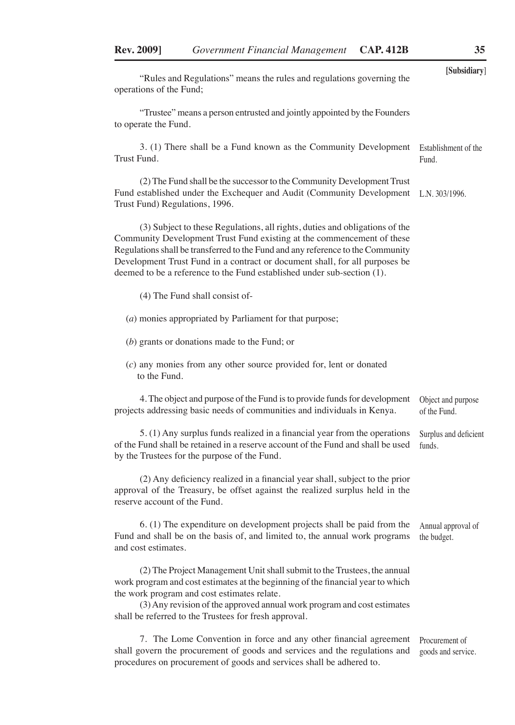| "Rules and Regulations" means the rules and regulations governing the<br>operations of the Fund;                                                                                                                                                                                                                                                                                                   | [Subsidiary]                         |
|----------------------------------------------------------------------------------------------------------------------------------------------------------------------------------------------------------------------------------------------------------------------------------------------------------------------------------------------------------------------------------------------------|--------------------------------------|
| "Trustee" means a person entrusted and jointly appointed by the Founders<br>to operate the Fund.                                                                                                                                                                                                                                                                                                   |                                      |
| 3. (1) There shall be a Fund known as the Community Development<br>Trust Fund.                                                                                                                                                                                                                                                                                                                     | Establishment of the<br>Fund.        |
| (2) The Fund shall be the successor to the Community Development Trust<br>Fund established under the Exchequer and Audit (Community Development<br>Trust Fund) Regulations, 1996.                                                                                                                                                                                                                  | L.N. $303/1996$ .                    |
| (3) Subject to these Regulations, all rights, duties and obligations of the<br>Community Development Trust Fund existing at the commencement of these<br>Regulations shall be transferred to the Fund and any reference to the Community<br>Development Trust Fund in a contract or document shall, for all purposes be<br>deemed to be a reference to the Fund established under sub-section (1). |                                      |
| (4) The Fund shall consist of-                                                                                                                                                                                                                                                                                                                                                                     |                                      |
| (a) monies appropriated by Parliament for that purpose;                                                                                                                                                                                                                                                                                                                                            |                                      |
| $(b)$ grants or donations made to the Fund; or                                                                                                                                                                                                                                                                                                                                                     |                                      |
| $(c)$ any monies from any other source provided for, lent or donated<br>to the Fund.                                                                                                                                                                                                                                                                                                               |                                      |
| 4. The object and purpose of the Fund is to provide funds for development<br>projects addressing basic needs of communities and individuals in Kenya.                                                                                                                                                                                                                                              | Object and purpose<br>of the Fund.   |
| 5. (1) Any surplus funds realized in a financial year from the operations<br>of the Fund shall be retained in a reserve account of the Fund and shall be used<br>by the Trustees for the purpose of the Fund.                                                                                                                                                                                      | Surplus and deficient<br>funds.      |
| (2) Any deficiency realized in a financial year shall, subject to the prior<br>approval of the Treasury, be offset against the realized surplus held in the<br>reserve account of the Fund.                                                                                                                                                                                                        |                                      |
| 6. (1) The expenditure on development projects shall be paid from the<br>Fund and shall be on the basis of, and limited to, the annual work programs<br>and cost estimates.                                                                                                                                                                                                                        | Annual approval of<br>the budget.    |
| (2) The Project Management Unit shall submit to the Trustees, the annual<br>work program and cost estimates at the beginning of the financial year to which<br>the work program and cost estimates relate.<br>(3) Any revision of the approved annual work program and cost estimates<br>shall be referred to the Trustees for fresh approval.                                                     |                                      |
| 7. The Lome Convention in force and any other financial agreement<br>shall govern the procurement of goods and services and the regulations and<br>procedures on procurement of goods and services shall be adhered to.                                                                                                                                                                            | Procurement of<br>goods and service. |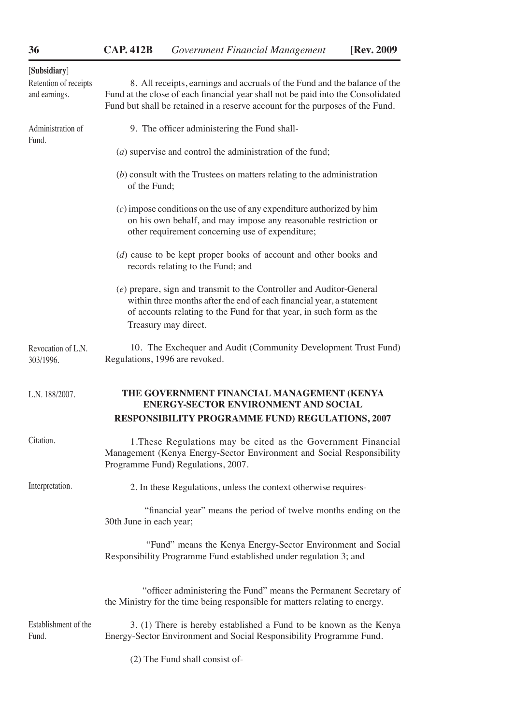| [Subsidiary]<br>Retention of receipts<br>and earnings. | 8. All receipts, earnings and accruals of the Fund and the balance of the<br>Fund at the close of each financial year shall not be paid into the Consolidated<br>Fund but shall be retained in a reserve account for the purposes of the Fund. |
|--------------------------------------------------------|------------------------------------------------------------------------------------------------------------------------------------------------------------------------------------------------------------------------------------------------|
| Administration of                                      | 9. The officer administering the Fund shall-                                                                                                                                                                                                   |
| Fund.                                                  | $(a)$ supervise and control the administration of the fund;                                                                                                                                                                                    |
|                                                        | $(b)$ consult with the Trustees on matters relating to the administration<br>of the Fund:                                                                                                                                                      |
|                                                        | $(c)$ impose conditions on the use of any expenditure authorized by him<br>on his own behalf, and may impose any reasonable restriction or<br>other requirement concerning use of expenditure;                                                 |
|                                                        | (d) cause to be kept proper books of account and other books and<br>records relating to the Fund; and                                                                                                                                          |
|                                                        | (e) prepare, sign and transmit to the Controller and Auditor-General<br>within three months after the end of each financial year, a statement<br>of accounts relating to the Fund for that year, in such form as the<br>Treasury may direct.   |
| Revocation of L.N.<br>303/1996.                        | 10. The Exchequer and Audit (Community Development Trust Fund)<br>Regulations, 1996 are revoked.                                                                                                                                               |
| L.N. 188/2007.                                         | THE GOVERNMENT FINANCIAL MANAGEMENT (KENYA<br><b>ENERGY-SECTOR ENVIRONMENT AND SOCIAL</b><br><b>RESPONSIBILITY PROGRAMME FUND) REGULATIONS, 2007</b>                                                                                           |
| Citation.                                              | 1. These Regulations may be cited as the Government Financial<br>Management (Kenya Energy-Sector Environment and Social Responsibility<br>Programme Fund) Regulations, 2007.                                                                   |
| Interpretation.                                        | 2. In these Regulations, unless the context otherwise requires-                                                                                                                                                                                |
|                                                        | "financial year" means the period of twelve months ending on the<br>30th June in each year;                                                                                                                                                    |
|                                                        | "Fund" means the Kenya Energy-Sector Environment and Social<br>Responsibility Programme Fund established under regulation 3; and                                                                                                               |
|                                                        | "officer administering the Fund" means the Permanent Secretary of<br>the Ministry for the time being responsible for matters relating to energy.                                                                                               |
| Establishment of the<br>Fund.                          | 3. (1) There is hereby established a Fund to be known as the Kenya<br>Energy-Sector Environment and Social Responsibility Programme Fund.                                                                                                      |
|                                                        | (2) The Fund shall consist of-                                                                                                                                                                                                                 |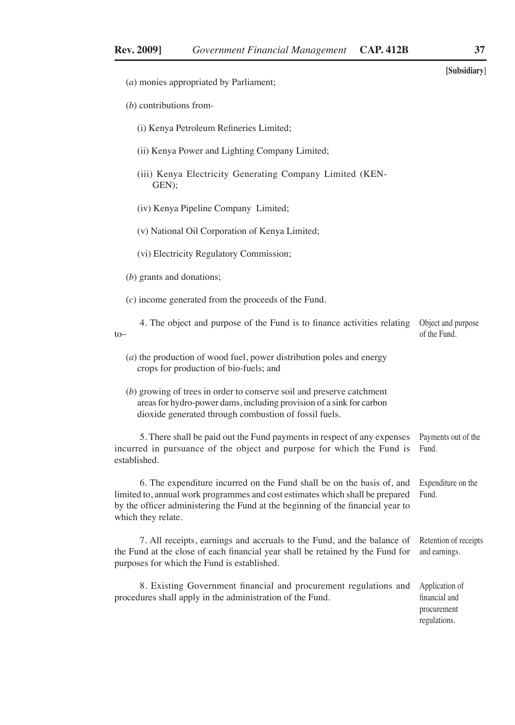|                                                                                                                                                                                                                                                                 | [Subsidiary]                                                   |
|-----------------------------------------------------------------------------------------------------------------------------------------------------------------------------------------------------------------------------------------------------------------|----------------------------------------------------------------|
| (a) monies appropriated by Parliament;                                                                                                                                                                                                                          |                                                                |
| $(b)$ contributions from-                                                                                                                                                                                                                                       |                                                                |
| (i) Kenya Petroleum Refineries Limited;                                                                                                                                                                                                                         |                                                                |
| (ii) Kenya Power and Lighting Company Limited;                                                                                                                                                                                                                  |                                                                |
| (iii) Kenya Electricity Generating Company Limited (KEN-<br>GEN);                                                                                                                                                                                               |                                                                |
| (iv) Kenya Pipeline Company Limited;                                                                                                                                                                                                                            |                                                                |
| (v) National Oil Corporation of Kenya Limited;                                                                                                                                                                                                                  |                                                                |
| (vi) Electricity Regulatory Commission;                                                                                                                                                                                                                         |                                                                |
| $(b)$ grants and donations;                                                                                                                                                                                                                                     |                                                                |
| $(c)$ income generated from the proceeds of the Fund.                                                                                                                                                                                                           |                                                                |
| 4. The object and purpose of the Fund is to finance activities relating<br>$to-$                                                                                                                                                                                | Object and purpose<br>of the Fund.                             |
| $(a)$ the production of wood fuel, power distribution poles and energy<br>crops for production of bio-fuels; and                                                                                                                                                |                                                                |
| (b) growing of trees in order to conserve soil and preserve catchment<br>areas for hydro-power dams, including provision of a sink for carbon<br>dioxide generated through combustion of fossil fuels.                                                          |                                                                |
| 5. There shall be paid out the Fund payments in respect of any expenses<br>incurred in pursuance of the object and purpose for which the Fund is<br>established.                                                                                                | Payments out of the<br>Fund.                                   |
| 6. The expenditure incurred on the Fund shall be on the basis of, and<br>limited to, annual work programmes and cost estimates which shall be prepared<br>by the officer administering the Fund at the beginning of the financial year to<br>which they relate. | Expenditure on the<br>Fund.                                    |
| 7. All receipts, earnings and accruals to the Fund, and the balance of Retention of receipts<br>the Fund at the close of each financial year shall be retained by the Fund for<br>purposes for which the Fund is established.                                   | and earnings.                                                  |
| 8. Existing Government financial and procurement regulations and<br>procedures shall apply in the administration of the Fund.                                                                                                                                   | Application of<br>financial and<br>procurement<br>regulations. |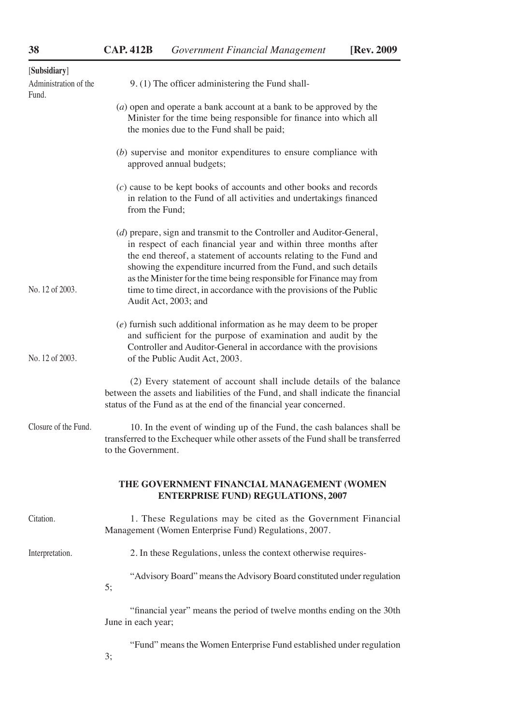| [Subsidiary]                   |                                                                                                                                                                                                                                                                                                                                                                                                                                                            |  |  |  |  |
|--------------------------------|------------------------------------------------------------------------------------------------------------------------------------------------------------------------------------------------------------------------------------------------------------------------------------------------------------------------------------------------------------------------------------------------------------------------------------------------------------|--|--|--|--|
| Administration of the<br>Fund. | 9. (1) The officer administering the Fund shall-                                                                                                                                                                                                                                                                                                                                                                                                           |  |  |  |  |
|                                | (a) open and operate a bank account at a bank to be approved by the<br>Minister for the time being responsible for finance into which all<br>the monies due to the Fund shall be paid;                                                                                                                                                                                                                                                                     |  |  |  |  |
|                                | (b) supervise and monitor expenditures to ensure compliance with<br>approved annual budgets;                                                                                                                                                                                                                                                                                                                                                               |  |  |  |  |
|                                | $(c)$ cause to be kept books of accounts and other books and records<br>in relation to the Fund of all activities and undertakings financed<br>from the Fund:                                                                                                                                                                                                                                                                                              |  |  |  |  |
| No. 12 of 2003.                | $(d)$ prepare, sign and transmit to the Controller and Auditor-General,<br>in respect of each financial year and within three months after<br>the end thereof, a statement of accounts relating to the Fund and<br>showing the expenditure incurred from the Fund, and such details<br>as the Minister for the time being responsible for Finance may from<br>time to time direct, in accordance with the provisions of the Public<br>Audit Act, 2003; and |  |  |  |  |
| No. 12 of 2003.                | $(e)$ furnish such additional information as he may deem to be proper<br>and sufficient for the purpose of examination and audit by the<br>Controller and Auditor-General in accordance with the provisions<br>of the Public Audit Act, 2003.                                                                                                                                                                                                              |  |  |  |  |
|                                | (2) Every statement of account shall include details of the balance<br>between the assets and liabilities of the Fund, and shall indicate the financial<br>status of the Fund as at the end of the financial year concerned.                                                                                                                                                                                                                               |  |  |  |  |
| Closure of the Fund.           | 10. In the event of winding up of the Fund, the cash balances shall be<br>transferred to the Exchequer while other assets of the Fund shall be transferred<br>to the Government.                                                                                                                                                                                                                                                                           |  |  |  |  |
|                                | THE GOVERNMENT FINANCIAL MANAGEMENT (WOMEN<br><b>ENTERPRISE FUND) REGULATIONS, 2007</b>                                                                                                                                                                                                                                                                                                                                                                    |  |  |  |  |
| Citation.                      | 1. These Regulations may be cited as the Government Financial<br>Management (Women Enterprise Fund) Regulations, 2007.                                                                                                                                                                                                                                                                                                                                     |  |  |  |  |
| Interpretation.                | 2. In these Regulations, unless the context otherwise requires-                                                                                                                                                                                                                                                                                                                                                                                            |  |  |  |  |
|                                | "Advisory Board" means the Advisory Board constituted under regulation<br>5;                                                                                                                                                                                                                                                                                                                                                                               |  |  |  |  |
|                                | "financial year" means the period of twelve months ending on the 30th<br>June in each year;                                                                                                                                                                                                                                                                                                                                                                |  |  |  |  |
|                                | "Fund" means the Women Enterprise Fund established under regulation<br>3;                                                                                                                                                                                                                                                                                                                                                                                  |  |  |  |  |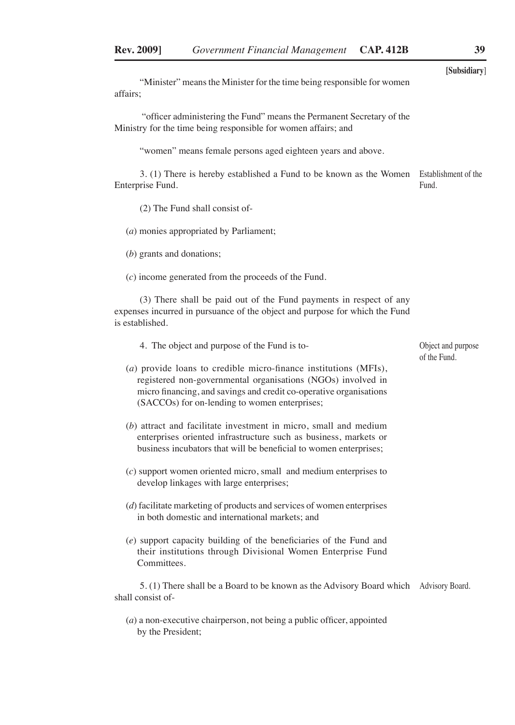"Minister" means the Minister for the time being responsible for women affairs;

 "officer administering the Fund" means the Permanent Secretary of the Ministry for the time being responsible for women affairs; and

"women" means female persons aged eighteen years and above.

3. (1) There is hereby established a Fund to be known as the Women Enterprise Fund. Establishment of the Fund.

(2) The Fund shall consist of-

(*a*) monies appropriated by Parliament;

(*b*) grants and donations;

(*c*) income generated from the proceeds of the Fund.

(3) There shall be paid out of the Fund payments in respect of any expenses incurred in pursuance of the object and purpose for which the Fund is established.

4. The object and purpose of the Fund is to-

(*a*) provide loans to credible micro-finance institutions (MFIs), registered non-governmental organisations (NGOs) involved in micro financing, and savings and credit co-operative organisations (SACCOs) for on-lending to women enterprises;

(*b*) attract and facilitate investment in micro, small and medium enterprises oriented infrastructure such as business, markets or business incubators that will be beneficial to women enterprises;

- (*c*) support women oriented micro, small and medium enterprises to develop linkages with large enterprises;
- (*d*) facilitate marketing of products and services of women enterprises in both domestic and international markets; and
- (*e*) support capacity building of the beneficiaries of the Fund and their institutions through Divisional Women Enterprise Fund Committees.

5. (1) There shall be a Board to be known as the Advisory Board which Advisory Board.shall consist of-

(*a*) a non-executive chairperson, not being a public officer, appointed by the President;

**[Subsidiary**]

Object and purpose of the Fund.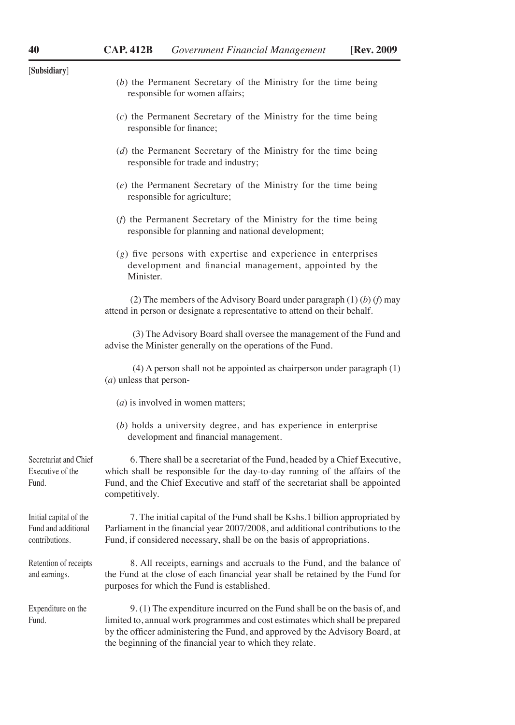| [Subsidiary]                                                    |                                                                                                                                                                                                                                                                                                          |
|-----------------------------------------------------------------|----------------------------------------------------------------------------------------------------------------------------------------------------------------------------------------------------------------------------------------------------------------------------------------------------------|
|                                                                 | (b) the Permanent Secretary of the Ministry for the time being<br>responsible for women affairs;                                                                                                                                                                                                         |
|                                                                 | $(c)$ the Permanent Secretary of the Ministry for the time being<br>responsible for finance;                                                                                                                                                                                                             |
|                                                                 | (d) the Permanent Secretary of the Ministry for the time being<br>responsible for trade and industry;                                                                                                                                                                                                    |
|                                                                 | (e) the Permanent Secretary of the Ministry for the time being<br>responsible for agriculture;                                                                                                                                                                                                           |
|                                                                 | (f) the Permanent Secretary of the Ministry for the time being<br>responsible for planning and national development;                                                                                                                                                                                     |
|                                                                 | $(g)$ five persons with expertise and experience in enterprises<br>development and financial management, appointed by the<br>Minister.                                                                                                                                                                   |
|                                                                 | (2) The members of the Advisory Board under paragraph $(1)$ (b) (f) may<br>attend in person or designate a representative to attend on their behalf.                                                                                                                                                     |
|                                                                 | (3) The Advisory Board shall oversee the management of the Fund and<br>advise the Minister generally on the operations of the Fund.                                                                                                                                                                      |
|                                                                 | $(4)$ A person shall not be appointed as chairperson under paragraph $(1)$<br>(a) unless that person-                                                                                                                                                                                                    |
|                                                                 | $(a)$ is involved in women matters;                                                                                                                                                                                                                                                                      |
|                                                                 | $(b)$ holds a university degree, and has experience in enterprise<br>development and financial management.                                                                                                                                                                                               |
| Secretariat and Chief<br>Executive of the<br>Fund.              | 6. There shall be a secretariat of the Fund, headed by a Chief Executive,<br>which shall be responsible for the day-to-day running of the affairs of the<br>Fund, and the Chief Executive and staff of the secretariat shall be appointed<br>competitively.                                              |
| Initial capital of the<br>Fund and additional<br>contributions. | 7. The initial capital of the Fund shall be Kshs.1 billion appropriated by<br>Parliament in the financial year 2007/2008, and additional contributions to the<br>Fund, if considered necessary, shall be on the basis of appropriations.                                                                 |
| Retention of receipts<br>and earnings.                          | 8. All receipts, earnings and accruals to the Fund, and the balance of<br>the Fund at the close of each financial year shall be retained by the Fund for<br>purposes for which the Fund is established.                                                                                                  |
| Expenditure on the<br>Fund.                                     | 9. (1) The expenditure incurred on the Fund shall be on the basis of, and<br>limited to, annual work programmes and cost estimates which shall be prepared<br>by the officer administering the Fund, and approved by the Advisory Board, at<br>the beginning of the financial year to which they relate. |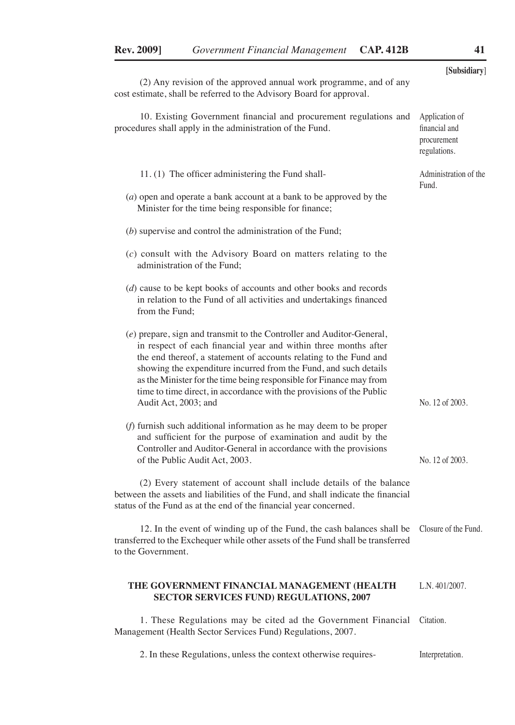|                                                                                                                                                                                                                                                                                                                                                                                                                                                          | [Subsidiary]                                                   |
|----------------------------------------------------------------------------------------------------------------------------------------------------------------------------------------------------------------------------------------------------------------------------------------------------------------------------------------------------------------------------------------------------------------------------------------------------------|----------------------------------------------------------------|
| (2) Any revision of the approved annual work programme, and of any<br>cost estimate, shall be referred to the Advisory Board for approval.                                                                                                                                                                                                                                                                                                               |                                                                |
| 10. Existing Government financial and procurement regulations and<br>procedures shall apply in the administration of the Fund.                                                                                                                                                                                                                                                                                                                           | Application of<br>financial and<br>procurement<br>regulations. |
| 11. (1) The officer administering the Fund shall-                                                                                                                                                                                                                                                                                                                                                                                                        | Administration of the<br>Fund.                                 |
| $(a)$ open and operate a bank account at a bank to be approved by the<br>Minister for the time being responsible for finance;                                                                                                                                                                                                                                                                                                                            |                                                                |
| $(b)$ supervise and control the administration of the Fund;                                                                                                                                                                                                                                                                                                                                                                                              |                                                                |
| $(c)$ consult with the Advisory Board on matters relating to the<br>administration of the Fund:                                                                                                                                                                                                                                                                                                                                                          |                                                                |
| $(d)$ cause to be kept books of accounts and other books and records<br>in relation to the Fund of all activities and undertakings financed<br>from the Fund:                                                                                                                                                                                                                                                                                            |                                                                |
| (e) prepare, sign and transmit to the Controller and Auditor-General,<br>in respect of each financial year and within three months after<br>the end thereof, a statement of accounts relating to the Fund and<br>showing the expenditure incurred from the Fund, and such details<br>as the Minister for the time being responsible for Finance may from<br>time to time direct, in accordance with the provisions of the Public<br>Audit Act, 2003; and | No. 12 of 2003.                                                |
| $(f)$ furnish such additional information as he may deem to be proper<br>and sufficient for the purpose of examination and audit by the<br>Controller and Auditor-General in accordance with the provisions<br>of the Public Audit Act, 2003.                                                                                                                                                                                                            | No. 12 of 2003.                                                |
| (2) Every statement of account shall include details of the balance<br>between the assets and liabilities of the Fund, and shall indicate the financial<br>status of the Fund as at the end of the financial year concerned.                                                                                                                                                                                                                             |                                                                |
| 12. In the event of winding up of the Fund, the cash balances shall be<br>transferred to the Exchequer while other assets of the Fund shall be transferred<br>to the Government.                                                                                                                                                                                                                                                                         | Closure of the Fund.                                           |
| THE GOVERNMENT FINANCIAL MANAGEMENT (HEALTH<br>SECTOR SERVICES FUND) REGULATIONS, 2007                                                                                                                                                                                                                                                                                                                                                                   | L.N. 401/2007.                                                 |

1. These Regulations may be cited ad the Government Financial Citation. Management (Health Sector Services Fund) Regulations, 2007.

2. In these Regulations, unless the context otherwise requires-Interpretation.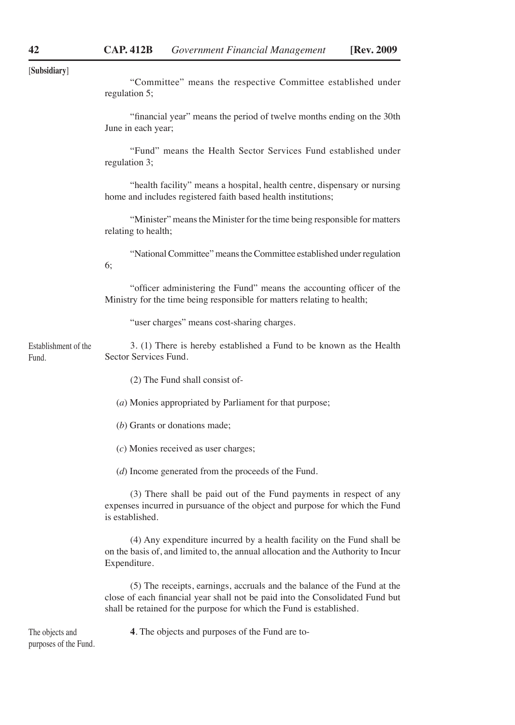| [Subsidiary] |  |
|--------------|--|

| "Committee" means the respective Committee established under |  |  |  |
|--------------------------------------------------------------|--|--|--|
| regulation 5;                                                |  |  |  |

"financial year" means the period of twelve months ending on the 30th June in each year;

"Fund" means the Health Sector Services Fund established under regulation 3;

"health facility" means a hospital, health centre, dispensary or nursing home and includes registered faith based health institutions;

"Minister" means the Minister for the time being responsible for matters relating to health;

"National Committee" means the Committee established under regulation 6;

"officer administering the Fund" means the accounting officer of the Ministry for the time being responsible for matters relating to health;

"user charges" means cost-sharing charges.

3. (1) There is hereby established a Fund to be known as the Health Sector Services Fund. Establishment of the Fund.

(2) The Fund shall consist of-

(*a*) Monies appropriated by Parliament for that purpose;

(*b*) Grants or donations made;

(*c*) Monies received as user charges;

(*d*) Income generated from the proceeds of the Fund.

(3) There shall be paid out of the Fund payments in respect of any expenses incurred in pursuance of the object and purpose for which the Fund is established.

(4) Any expenditure incurred by a health facility on the Fund shall be on the basis of, and limited to, the annual allocation and the Authority to Incur Expenditure.

(5) The receipts, earnings, accruals and the balance of the Fund at the close of each financial year shall not be paid into the Consolidated Fund but shall be retained for the purpose for which the Fund is established.

The objects and purposes of the Fund. **4**. The objects and purposes of the Fund are to-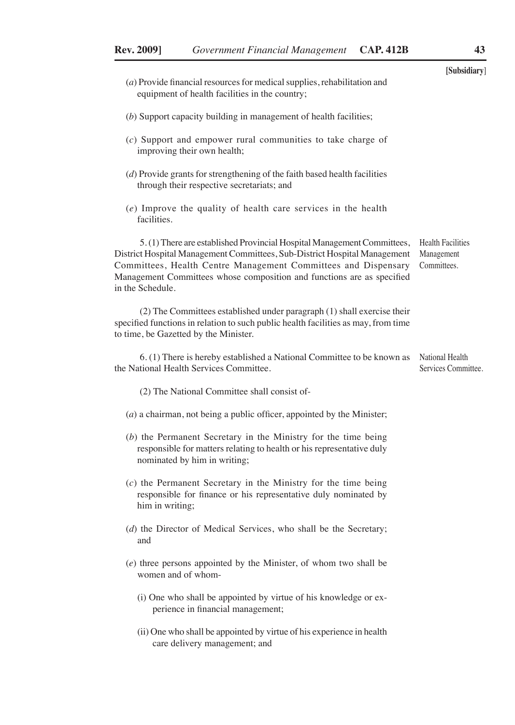|                                                                                                                                                                                                                                                                                                                      | [Subsidiary]                                          |
|----------------------------------------------------------------------------------------------------------------------------------------------------------------------------------------------------------------------------------------------------------------------------------------------------------------------|-------------------------------------------------------|
| $(a)$ Provide financial resources for medical supplies, rehabilitation and<br>equipment of health facilities in the country;                                                                                                                                                                                         |                                                       |
| (b) Support capacity building in management of health facilities;                                                                                                                                                                                                                                                    |                                                       |
| $(c)$ Support and empower rural communities to take charge of<br>improving their own health;                                                                                                                                                                                                                         |                                                       |
| $(d)$ Provide grants for strengthening of the faith based health facilities<br>through their respective secretariats; and                                                                                                                                                                                            |                                                       |
| (e) Improve the quality of health care services in the health<br>facilities.                                                                                                                                                                                                                                         |                                                       |
| 5. (1) There are established Provincial Hospital Management Committees,<br>District Hospital Management Committees, Sub-District Hospital Management<br>Committees, Health Centre Management Committees and Dispensary<br>Management Committees whose composition and functions are as specified<br>in the Schedule. | <b>Health Facilities</b><br>Management<br>Committees. |
| (2) The Committees established under paragraph (1) shall exercise their<br>specified functions in relation to such public health facilities as may, from time<br>to time, be Gazetted by the Minister.                                                                                                               |                                                       |
| 6. (1) There is hereby established a National Committee to be known as<br>the National Health Services Committee.                                                                                                                                                                                                    | National Health<br>Services Committee.                |
| (2) The National Committee shall consist of-                                                                                                                                                                                                                                                                         |                                                       |
| $(a)$ a chairman, not being a public officer, appointed by the Minister;                                                                                                                                                                                                                                             |                                                       |
| $(b)$ the Permanent Secretary in the Ministry for the time being<br>responsible for matters relating to health or his representative duly<br>nominated by him in writing;                                                                                                                                            |                                                       |
| $(c)$ the Permanent Secretary in the Ministry for the time being<br>responsible for finance or his representative duly nominated by<br>him in writing;                                                                                                                                                               |                                                       |
| (d) the Director of Medical Services, who shall be the Secretary;<br>and                                                                                                                                                                                                                                             |                                                       |
| $(e)$ three persons appointed by the Minister, of whom two shall be<br>women and of whom-                                                                                                                                                                                                                            |                                                       |
| (i) One who shall be appointed by virtue of his knowledge or ex-<br>perience in financial management;                                                                                                                                                                                                                |                                                       |

(ii) One who shall be appointed by virtue of his experience in health care delivery management; and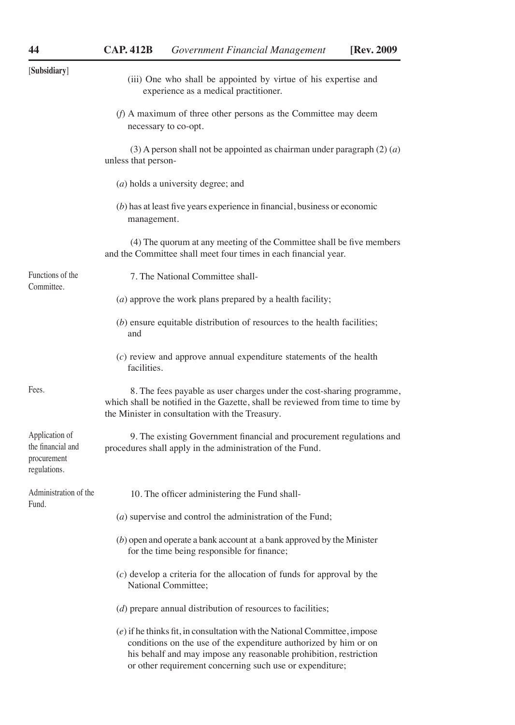| [Subsidiary]                                                       | (iii) One who shall be appointed by virtue of his expertise and<br>experience as a medical practitioner.                                                                                                                                                                         |  |
|--------------------------------------------------------------------|----------------------------------------------------------------------------------------------------------------------------------------------------------------------------------------------------------------------------------------------------------------------------------|--|
|                                                                    | (f) A maximum of three other persons as the Committee may deem<br>necessary to co-opt.                                                                                                                                                                                           |  |
|                                                                    | (3) A person shall not be appointed as chairman under paragraph $(2)$ $(a)$<br>unless that person-                                                                                                                                                                               |  |
|                                                                    | (a) holds a university degree; and                                                                                                                                                                                                                                               |  |
|                                                                    | $(b)$ has at least five years experience in financial, business or economic<br>management.                                                                                                                                                                                       |  |
|                                                                    | (4) The quorum at any meeting of the Committee shall be five members<br>and the Committee shall meet four times in each financial year.                                                                                                                                          |  |
| Functions of the<br>Committee.                                     | 7. The National Committee shall-                                                                                                                                                                                                                                                 |  |
|                                                                    | $(a)$ approve the work plans prepared by a health facility;                                                                                                                                                                                                                      |  |
|                                                                    | $(b)$ ensure equitable distribution of resources to the health facilities;<br>and                                                                                                                                                                                                |  |
|                                                                    | $(c)$ review and approve annual expenditure statements of the health<br>facilities.                                                                                                                                                                                              |  |
| Fees.                                                              | 8. The fees payable as user charges under the cost-sharing programme,<br>which shall be notified in the Gazette, shall be reviewed from time to time by<br>the Minister in consultation with the Treasury.                                                                       |  |
| Application of<br>the financial and<br>procurement<br>regulations. | 9. The existing Government financial and procurement regulations and<br>procedures shall apply in the administration of the Fund.                                                                                                                                                |  |
| Administration of the<br>Fund.                                     | 10. The officer administering the Fund shall-                                                                                                                                                                                                                                    |  |
|                                                                    | $(a)$ supervise and control the administration of the Fund;                                                                                                                                                                                                                      |  |
|                                                                    | $(b)$ open and operate a bank account at a bank approved by the Minister<br>for the time being responsible for finance;                                                                                                                                                          |  |
|                                                                    | $(c)$ develop a criteria for the allocation of funds for approval by the<br><b>National Committee:</b>                                                                                                                                                                           |  |
|                                                                    | (d) prepare annual distribution of resources to facilities;                                                                                                                                                                                                                      |  |
|                                                                    | $(e)$ if he thinks fit, in consultation with the National Committee, impose<br>conditions on the use of the expenditure authorized by him or on<br>his behalf and may impose any reasonable prohibition, restriction<br>or other requirement concerning such use or expenditure; |  |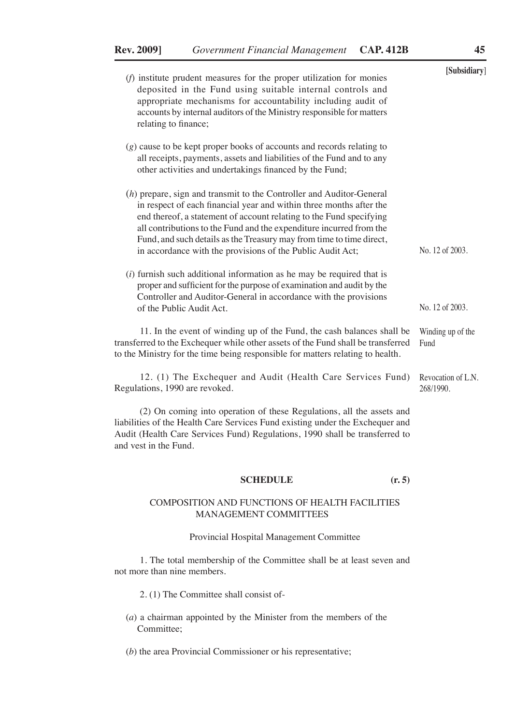|                                                                                                                                                                                                                                                                                                                                                                                                                                   | [Subsidiary]                    |
|-----------------------------------------------------------------------------------------------------------------------------------------------------------------------------------------------------------------------------------------------------------------------------------------------------------------------------------------------------------------------------------------------------------------------------------|---------------------------------|
| $(f)$ institute prudent measures for the proper utilization for monies<br>deposited in the Fund using suitable internal controls and<br>appropriate mechanisms for accountability including audit of<br>accounts by internal auditors of the Ministry responsible for matters<br>relating to finance;                                                                                                                             |                                 |
| $(g)$ cause to be kept proper books of accounts and records relating to<br>all receipts, payments, assets and liabilities of the Fund and to any<br>other activities and undertakings financed by the Fund;                                                                                                                                                                                                                       |                                 |
| $(h)$ prepare, sign and transmit to the Controller and Auditor-General<br>in respect of each financial year and within three months after the<br>end thereof, a statement of account relating to the Fund specifying<br>all contributions to the Fund and the expenditure incurred from the<br>Fund, and such details as the Treasury may from time to time direct,<br>in accordance with the provisions of the Public Audit Act; | No. 12 of 2003.                 |
| $(i)$ furnish such additional information as he may be required that is<br>proper and sufficient for the purpose of examination and audit by the<br>Controller and Auditor-General in accordance with the provisions<br>of the Public Audit Act.                                                                                                                                                                                  | No. 12 of 2003.                 |
| 11. In the event of winding up of the Fund, the cash balances shall be<br>transferred to the Exchequer while other assets of the Fund shall be transferred<br>to the Ministry for the time being responsible for matters relating to health.                                                                                                                                                                                      | Winding up of the<br>Fund       |
| 12. (1) The Exchequer and Audit (Health Care Services Fund)<br>Regulations, 1990 are revoked.                                                                                                                                                                                                                                                                                                                                     | Revocation of L.N.<br>268/1990. |

(2) On coming into operation of these Regulations, all the assets and liabilities of the Health Care Services Fund existing under the Exchequer and Audit (Health Care Services Fund) Regulations, 1990 shall be transferred to and vest in the Fund.

#### **SCHEDULE (r. 5)**

#### COMPOSITION AND FUNCTIONS OF HEALTH FACILITIES MANAGEMENT COMMITTEES

#### Provincial Hospital Management Committee

1. The total membership of the Committee shall be at least seven and not more than nine members.

2. (1) The Committee shall consist of-

(*a*) a chairman appointed by the Minister from the members of the Committee;

(*b*) the area Provincial Commissioner or his representative;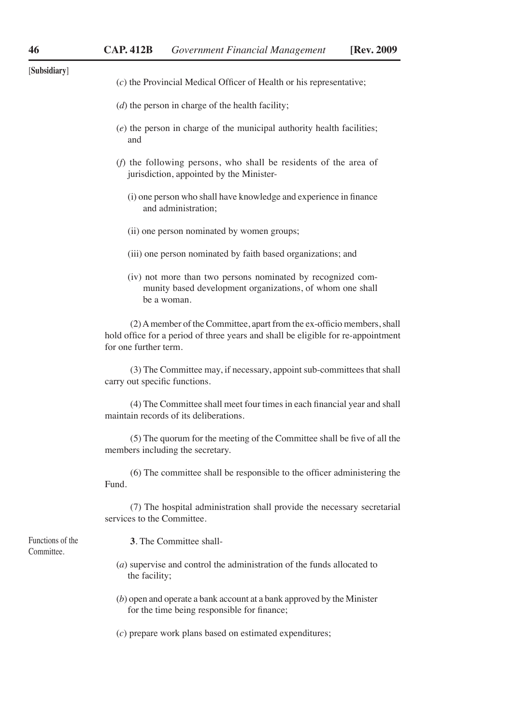| [Subsidiary]                   | (c) the Provincial Medical Officer of Health or his representative;                                                                                                                  |
|--------------------------------|--------------------------------------------------------------------------------------------------------------------------------------------------------------------------------------|
|                                | $(d)$ the person in charge of the health facility;                                                                                                                                   |
|                                |                                                                                                                                                                                      |
|                                | $(e)$ the person in charge of the municipal authority health facilities;<br>and                                                                                                      |
|                                | $(f)$ the following persons, who shall be residents of the area of<br>jurisdiction, appointed by the Minister-                                                                       |
|                                | (i) one person who shall have knowledge and experience in finance<br>and administration;                                                                                             |
|                                | (ii) one person nominated by women groups;                                                                                                                                           |
|                                | (iii) one person nominated by faith based organizations; and                                                                                                                         |
|                                | (iv) not more than two persons nominated by recognized com-<br>munity based development organizations, of whom one shall<br>be a woman.                                              |
|                                | (2) A member of the Committee, apart from the ex-officio members, shall<br>hold office for a period of three years and shall be eligible for re-appointment<br>for one further term. |
|                                | (3) The Committee may, if necessary, appoint sub-committees that shall<br>carry out specific functions.                                                                              |
|                                | (4) The Committee shall meet four times in each financial year and shall<br>maintain records of its deliberations.                                                                   |
|                                | (5) The quorum for the meeting of the Committee shall be five of all the<br>members including the secretary.                                                                         |
|                                | (6) The committee shall be responsible to the officer administering the<br>Fund.                                                                                                     |
|                                | (7) The hospital administration shall provide the necessary secretarial<br>services to the Committee.                                                                                |
| Functions of the<br>Committee. | 3. The Committee shall-                                                                                                                                                              |
|                                | $(a)$ supervise and control the administration of the funds allocated to<br>the facility;                                                                                            |
|                                | $(b)$ open and operate a bank account at a bank approved by the Minister<br>for the time being responsible for finance;                                                              |
|                                | (c) prepare work plans based on estimated expenditures;                                                                                                                              |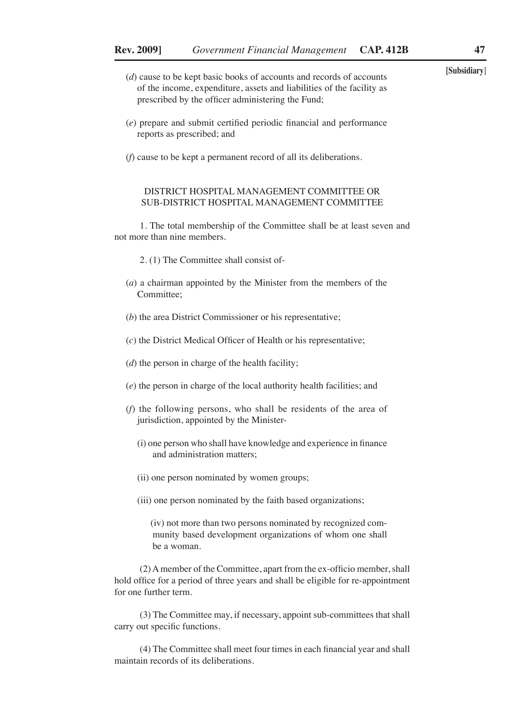- **[Subsidiary**] (*d*) cause to be kept basic books of accounts and records of accounts of the income, expenditure, assets and liabilities of the facility as prescribed by the officer administering the Fund;
- (*e*) prepare and submit certified periodic financial and performance reports as prescribed; and
- (*f*) cause to be kept a permanent record of all its deliberations.

#### DISTRICT HOSPITAL MANAGEMENT COMMITTEE OR SUB-DISTRICT HOSPITAL MANAGEMENT COMMITTEE

1. The total membership of the Committee shall be at least seven and not more than nine members.

- 2. (1) The Committee shall consist of-
- (*a*) a chairman appointed by the Minister from the members of the Committee;
- (*b*) the area District Commissioner or his representative;
- (*c*) the District Medical Officer of Health or his representative;
- (*d*) the person in charge of the health facility;
- (*e*) the person in charge of the local authority health facilities; and
- (*f*) the following persons, who shall be residents of the area of jurisdiction, appointed by the Minister-
	- (i) one person who shall have knowledge and experience in finance and administration matters;
	- (ii) one person nominated by women groups;
	- (iii) one person nominated by the faith based organizations;

 (iv) not more than two persons nominated by recognized community based development organizations of whom one shall be a woman.

(2) A member of the Committee, apart from the ex-officio member, shall hold office for a period of three years and shall be eligible for re-appointment for one further term.

(3) The Committee may, if necessary, appoint sub-committees that shall carry out specific functions.

(4) The Committee shall meet four times in each financial year and shall maintain records of its deliberations.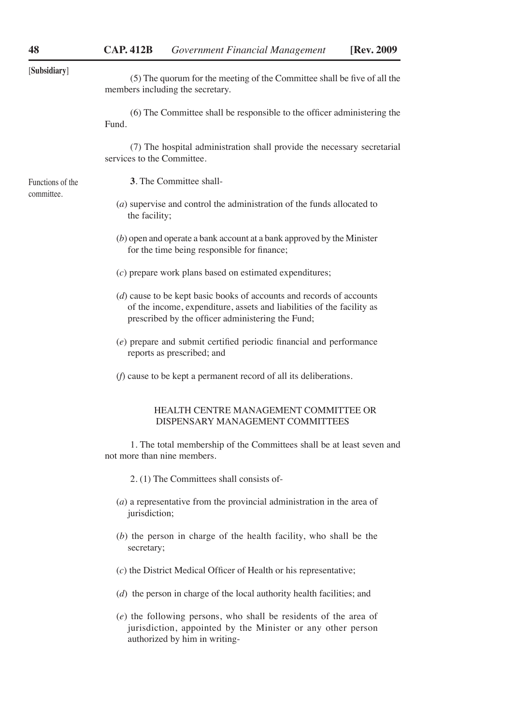|  | [Subsidiary] |
|--|--------------|
|  |              |

Functions of the committee.

[**Subsidiary**] (5) The quorum for the meeting of the Committee shall be five of all the members including the secretary.

(6) The Committee shall be responsible to the officer administering the Fund.

(7) The hospital administration shall provide the necessary secretarial services to the Committee.

**3**. The Committee shall-

- (*a*) supervise and control the administration of the funds allocated to the facility;
- (*b*) open and operate a bank account at a bank approved by the Minister for the time being responsible for finance;
- (*c*) prepare work plans based on estimated expenditures;
- (*d*) cause to be kept basic books of accounts and records of accounts of the income, expenditure, assets and liabilities of the facility as prescribed by the officer administering the Fund;
- (*e*) prepare and submit certified periodic financial and performance reports as prescribed; and
- (*f*) cause to be kept a permanent record of all its deliberations.

#### HEALTH CENTRE MANAGEMENT COMMITTEE OR DISPENSARY MANAGEMENT COMMITTEES

1. The total membership of the Committees shall be at least seven and not more than nine members.

2. (1) The Committees shall consists of-

- (*a*) a representative from the provincial administration in the area of jurisdiction;
- (*b*) the person in charge of the health facility, who shall be the secretary;
- (*c*) the District Medical Officer of Health or his representative;
- (*d*) the person in charge of the local authority health facilities; and
- (*e*) the following persons, who shall be residents of the area of jurisdiction, appointed by the Minister or any other person authorized by him in writing-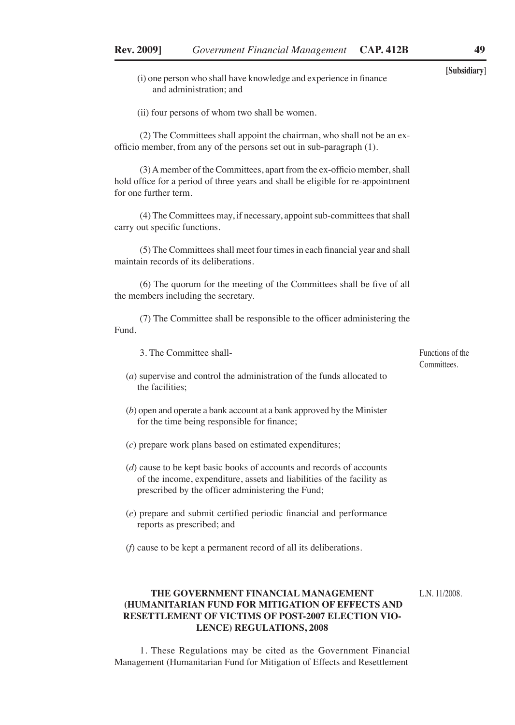- **[Subsidiary**] (i) one person who shall have knowledge and experience in finance and administration; and
- (ii) four persons of whom two shall be women.

(2) The Committees shall appoint the chairman, who shall not be an exofficio member, from any of the persons set out in sub-paragraph (1).

(3) A member of the Committees, apart from the ex-officio member, shall hold office for a period of three years and shall be eligible for re-appointment for one further term.

(4) The Committees may, if necessary, appoint sub-committees that shall carry out specific functions.

(5) The Committees shall meet four times in each financial year and shall maintain records of its deliberations.

(6) The quorum for the meeting of the Committees shall be five of all the members including the secretary.

(7) The Committee shall be responsible to the officer administering the Fund.

3. The Committee shall-

(*a*) supervise and control the administration of the funds allocated to the facilities;

- (*b*) open and operate a bank account at a bank approved by the Minister for the time being responsible for finance;
- (*c*) prepare work plans based on estimated expenditures;
- (*d*) cause to be kept basic books of accounts and records of accounts of the income, expenditure, assets and liabilities of the facility as prescribed by the officer administering the Fund;
- (*e*) prepare and submit certified periodic financial and performance reports as prescribed; and

(*f*) cause to be kept a permanent record of all its deliberations.

#### **THE GOVERNMENT FINANCIAL MANAGEMENT (HUMANITARIAN FUND FOR MITIGATION OF EFFECTS AND RESETTLEMENT OF VICTIMS OF POST-2007 ELECTION VIO-LENCE) REGULATIONS, 2008** L.N. 11/2008.

1. These Regulations may be cited as the Government Financial Management (Humanitarian Fund for Mitigation of Effects and Resettlement

Functions of the **Committees**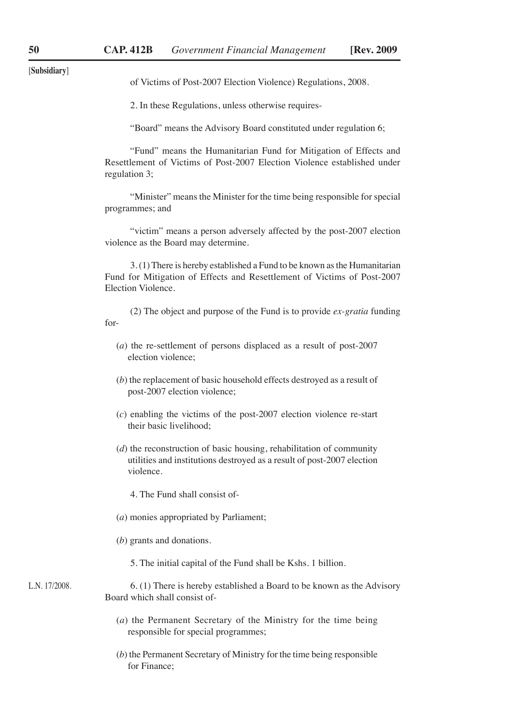[**Subsidiary**]

of Victims of Post-2007 Election Violence) Regulations, 2008.

2. In these Regulations, unless otherwise requires-

"Board" means the Advisory Board constituted under regulation 6;

"Fund" means the Humanitarian Fund for Mitigation of Effects and Resettlement of Victims of Post-2007 Election Violence established under regulation 3;

"Minister" means the Minister for the time being responsible for special programmes; and

"victim" means a person adversely affected by the post-2007 election violence as the Board may determine.

3. (1) There is hereby established a Fund to be known as the Humanitarian Fund for Mitigation of Effects and Resettlement of Victims of Post-2007 Election Violence.

(2) The object and purpose of the Fund is to provide *ex-gratia* funding for-

- (*a*) the re-settlement of persons displaced as a result of post-2007 election violence;
- (*b*) the replacement of basic household effects destroyed as a result of post-2007 election violence;
- (*c*) enabling the victims of the post-2007 election violence re-start their basic livelihood;
- (*d*) the reconstruction of basic housing, rehabilitation of community utilities and institutions destroyed as a result of post-2007 election violence.

4. The Fund shall consist of-

- (*a*) monies appropriated by Parliament;
- (*b*) grants and donations.
	- 5. The initial capital of the Fund shall be Kshs. 1 billion.

6. (1) There is hereby established a Board to be known as the Advisory Board which shall consist of- L.N. 17/2008.

- (*a*) the Permanent Secretary of the Ministry for the time being responsible for special programmes;
- (*b*) the Permanent Secretary of Ministry for the time being responsible for Finance;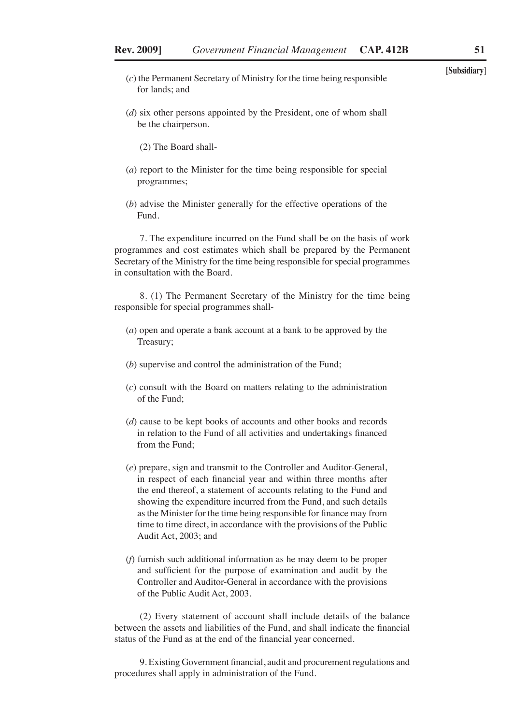- **[Subsidiary**] (*c*) the Permanent Secretary of Ministry for the time being responsible for lands; and
- (*d*) six other persons appointed by the President, one of whom shall be the chairperson.
	- (2) The Board shall-
- (*a*) report to the Minister for the time being responsible for special programmes;
- (*b*) advise the Minister generally for the effective operations of the Fund.

7. The expenditure incurred on the Fund shall be on the basis of work programmes and cost estimates which shall be prepared by the Permanent Secretary of the Ministry for the time being responsible for special programmes in consultation with the Board.

8. (1) The Permanent Secretary of the Ministry for the time being responsible for special programmes shall-

- (*a*) open and operate a bank account at a bank to be approved by the Treasury;
- (*b*) supervise and control the administration of the Fund;
- (*c*) consult with the Board on matters relating to the administration of the Fund;
- (*d*) cause to be kept books of accounts and other books and records in relation to the Fund of all activities and undertakings financed from the Fund;
- (*e*) prepare, sign and transmit to the Controller and Auditor-General, in respect of each financial year and within three months after the end thereof, a statement of accounts relating to the Fund and showing the expenditure incurred from the Fund, and such details as the Minister for the time being responsible for finance may from time to time direct, in accordance with the provisions of the Public Audit Act, 2003; and
- (*f*) furnish such additional information as he may deem to be proper and sufficient for the purpose of examination and audit by the Controller and Auditor-General in accordance with the provisions of the Public Audit Act, 2003.

(2) Every statement of account shall include details of the balance between the assets and liabilities of the Fund, and shall indicate the financial status of the Fund as at the end of the financial year concerned.

9. Existing Government financial, audit and procurement regulations and procedures shall apply in administration of the Fund.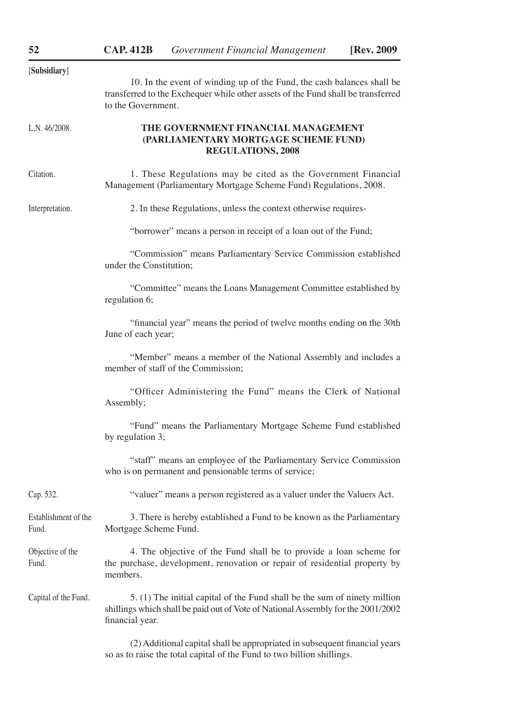| [Subsidiary]                  | 10. In the event of winding up of the Fund, the cash balances shall be<br>transferred to the Exchequer while other assets of the Fund shall be transferred<br>to the Government. |  |  |
|-------------------------------|----------------------------------------------------------------------------------------------------------------------------------------------------------------------------------|--|--|
| L.N.46/2008.                  | THE GOVERNMENT FINANCIAL MANAGEMENT<br>(PARLIAMENTARY MORTGAGE SCHEME FUND)<br><b>REGULATIONS, 2008</b>                                                                          |  |  |
| Citation.                     | 1. These Regulations may be cited as the Government Financial<br>Management (Parliamentary Mortgage Scheme Fund) Regulations, 2008.                                              |  |  |
| Interpretation.               | 2. In these Regulations, unless the context otherwise requires-                                                                                                                  |  |  |
|                               | "borrower" means a person in receipt of a loan out of the Fund;                                                                                                                  |  |  |
|                               | "Commission" means Parliamentary Service Commission established<br>under the Constitution;                                                                                       |  |  |
|                               | "Committee" means the Loans Management Committee established by<br>regulation 6;                                                                                                 |  |  |
|                               | "financial year" means the period of twelve months ending on the 30th<br>June of each year;                                                                                      |  |  |
|                               | "Member" means a member of the National Assembly and includes a<br>member of staff of the Commission;                                                                            |  |  |
|                               | "Officer Administering the Fund" means the Clerk of National<br>Assembly;                                                                                                        |  |  |
|                               | "Fund" means the Parliamentary Mortgage Scheme Fund established<br>by regulation 3;                                                                                              |  |  |
|                               | "staff" means an employee of the Parliamentary Service Commission<br>who is on permanent and pensionable terms of service;                                                       |  |  |
| Cap. 532.                     | "valuer" means a person registered as a valuer under the Valuers Act.                                                                                                            |  |  |
| Establishment of the<br>Fund. | 3. There is hereby established a Fund to be known as the Parliamentary<br>Mortgage Scheme Fund.                                                                                  |  |  |
| Objective of the<br>Fund.     | 4. The objective of the Fund shall be to provide a loan scheme for<br>the purchase, development, renovation or repair of residential property by<br>members.                     |  |  |
| Capital of the Fund.          | 5. (1) The initial capital of the Fund shall be the sum of ninety million<br>shillings which shall be paid out of Vote of National Assembly for the 2001/2002<br>financial year. |  |  |
|                               | (2) Additional capital shall be appropriated in subsequent financial years                                                                                                       |  |  |

so as to raise the total capital of the Fund to two billion shillings.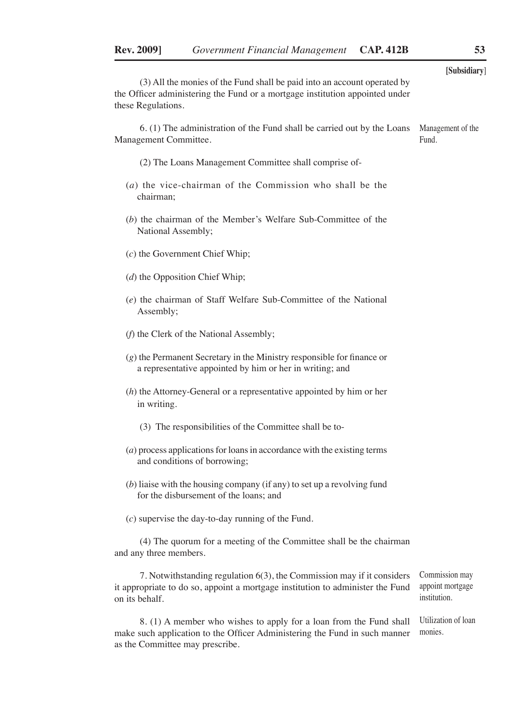| (3) All the monies of the Fund shall be paid into an account operated by<br>the Officer administering the Fund or a mortgage institution appointed under<br>these Regulations.      | [Subsidiary]                                       |
|-------------------------------------------------------------------------------------------------------------------------------------------------------------------------------------|----------------------------------------------------|
| 6. (1) The administration of the Fund shall be carried out by the Loans<br>Management Committee.                                                                                    | Management of the<br>Fund.                         |
| (2) The Loans Management Committee shall comprise of-                                                                                                                               |                                                    |
| $(a)$ the vice-chairman of the Commission who shall be the<br>chairman;                                                                                                             |                                                    |
| (b) the chairman of the Member's Welfare Sub-Committee of the<br>National Assembly;                                                                                                 |                                                    |
| $(c)$ the Government Chief Whip;                                                                                                                                                    |                                                    |
| $(d)$ the Opposition Chief Whip;                                                                                                                                                    |                                                    |
| (e) the chairman of Staff Welfare Sub-Committee of the National<br>Assembly;                                                                                                        |                                                    |
| (f) the Clerk of the National Assembly;                                                                                                                                             |                                                    |
| $(g)$ the Permanent Secretary in the Ministry responsible for finance or<br>a representative appointed by him or her in writing; and                                                |                                                    |
| $(h)$ the Attorney-General or a representative appointed by him or her<br>in writing.                                                                                               |                                                    |
| (3) The responsibilities of the Committee shall be to-                                                                                                                              |                                                    |
| $(a)$ process applications for loans in accordance with the existing terms<br>and conditions of borrowing;                                                                          |                                                    |
| $(b)$ liaise with the housing company (if any) to set up a revolving fund<br>for the disbursement of the loans; and                                                                 |                                                    |
| $(c)$ supervise the day-to-day running of the Fund.                                                                                                                                 |                                                    |
| (4) The quorum for a meeting of the Committee shall be the chairman<br>and any three members.                                                                                       |                                                    |
| 7. Notwithstanding regulation 6(3), the Commission may if it considers<br>it appropriate to do so, appoint a mortgage institution to administer the Fund<br>on its behalf.          | Commission may<br>appoint mortgage<br>institution. |
| 8. (1) A member who wishes to apply for a loan from the Fund shall<br>make such application to the Officer Administering the Fund in such manner<br>as the Committee may prescribe. | Utilization of loan<br>monies.                     |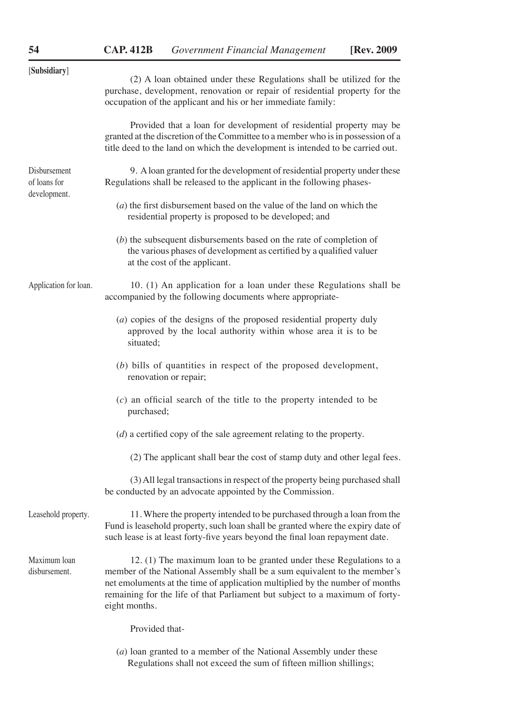| [Subsidiary]                                 | (2) A loan obtained under these Regulations shall be utilized for the<br>purchase, development, renovation or repair of residential property for the<br>occupation of the applicant and his or her immediate family:                                                                                                              |  |
|----------------------------------------------|-----------------------------------------------------------------------------------------------------------------------------------------------------------------------------------------------------------------------------------------------------------------------------------------------------------------------------------|--|
|                                              | Provided that a loan for development of residential property may be<br>granted at the discretion of the Committee to a member who is in possession of a<br>title deed to the land on which the development is intended to be carried out.                                                                                         |  |
| Disbursement<br>of loans for<br>development. | 9. A loan granted for the development of residential property under these<br>Regulations shall be released to the applicant in the following phases-                                                                                                                                                                              |  |
|                                              | $(a)$ the first disbursement based on the value of the land on which the<br>residential property is proposed to be developed; and                                                                                                                                                                                                 |  |
|                                              | $(b)$ the subsequent disbursements based on the rate of completion of<br>the various phases of development as certified by a qualified valuer<br>at the cost of the applicant.                                                                                                                                                    |  |
| Application for loan.                        | 10. (1) An application for a loan under these Regulations shall be<br>accompanied by the following documents where appropriate-                                                                                                                                                                                                   |  |
|                                              | (a) copies of the designs of the proposed residential property duly<br>approved by the local authority within whose area it is to be<br>situated;                                                                                                                                                                                 |  |
|                                              | $(b)$ bills of quantities in respect of the proposed development,<br>renovation or repair;                                                                                                                                                                                                                                        |  |
|                                              | $(c)$ an official search of the title to the property intended to be<br>purchased;                                                                                                                                                                                                                                                |  |
|                                              | $(d)$ a certified copy of the sale agreement relating to the property.                                                                                                                                                                                                                                                            |  |
|                                              | (2) The applicant shall bear the cost of stamp duty and other legal fees.                                                                                                                                                                                                                                                         |  |
|                                              | (3) All legal transactions in respect of the property being purchased shall<br>be conducted by an advocate appointed by the Commission.                                                                                                                                                                                           |  |
| Leasehold property.                          | 11. Where the property intended to be purchased through a loan from the<br>Fund is leasehold property, such loan shall be granted where the expiry date of<br>such lease is at least forty-five years beyond the final loan repayment date.                                                                                       |  |
| Maximum loan<br>disbursement.                | 12. (1) The maximum loan to be granted under these Regulations to a<br>member of the National Assembly shall be a sum equivalent to the member's<br>net emoluments at the time of application multiplied by the number of months<br>remaining for the life of that Parliament but subject to a maximum of forty-<br>eight months. |  |
|                                              | Provided that-                                                                                                                                                                                                                                                                                                                    |  |
|                                              |                                                                                                                                                                                                                                                                                                                                   |  |

(*a*) loan granted to a member of the National Assembly under these Regulations shall not exceed the sum of fifteen million shillings;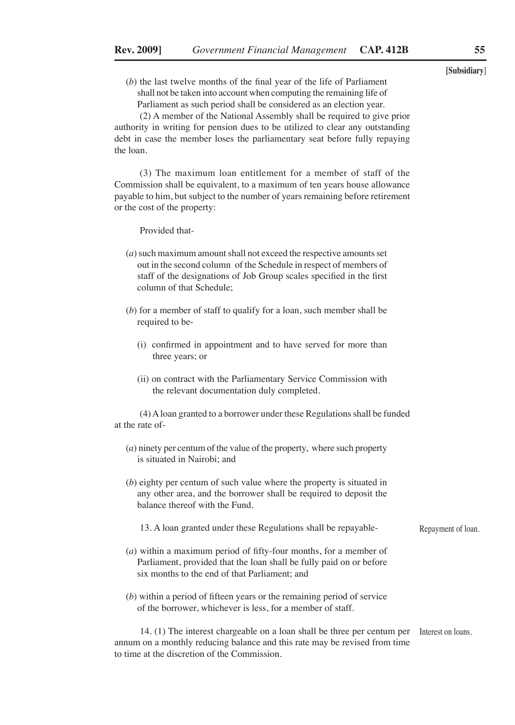(*b*) the last twelve months of the final year of the life of Parliament shall not be taken into account when computing the remaining life of Parliament as such period shall be considered as an election year.

(2) A member of the National Assembly shall be required to give prior authority in writing for pension dues to be utilized to clear any outstanding debt in case the member loses the parliamentary seat before fully repaying the loan.

(3) The maximum loan entitlement for a member of staff of the Commission shall be equivalent, to a maximum of ten years house allowance payable to him, but subject to the number of years remaining before retirement or the cost of the property:

Provided that-

- (*a*) such maximum amount shall not exceed the respective amounts set out in the second column of the Schedule in respect of members of staff of the designations of Job Group scales specified in the first column of that Schedule;
- (*b*) for a member of staff to qualify for a loan, such member shall be required to be-
	- (i) confirmed in appointment and to have served for more than three years; or
	- (ii) on contract with the Parliamentary Service Commission with the relevant documentation duly completed.

(4) A loan granted to a borrower under these Regulations shall be funded at the rate of-

- (*a*) ninety per centum of the value of the property, where such property is situated in Nairobi; and
- (*b*) eighty per centum of such value where the property is situated in any other area, and the borrower shall be required to deposit the balance thereof with the Fund.

13. A loan granted under these Regulations shall be repayable-

- (*a*) within a maximum period of fifty-four months, for a member of Parliament, provided that the loan shall be fully paid on or before six months to the end of that Parliament; and
- (*b*) within a period of fifteen years or the remaining period of service of the borrower, whichever is less, for a member of staff.

14. (1) The interest chargeable on a loan shall be three per centum per Interest on loans.annum on a monthly reducing balance and this rate may be revised from time to time at the discretion of the Commission.

**[Subsidiary**]

Repayment of loan.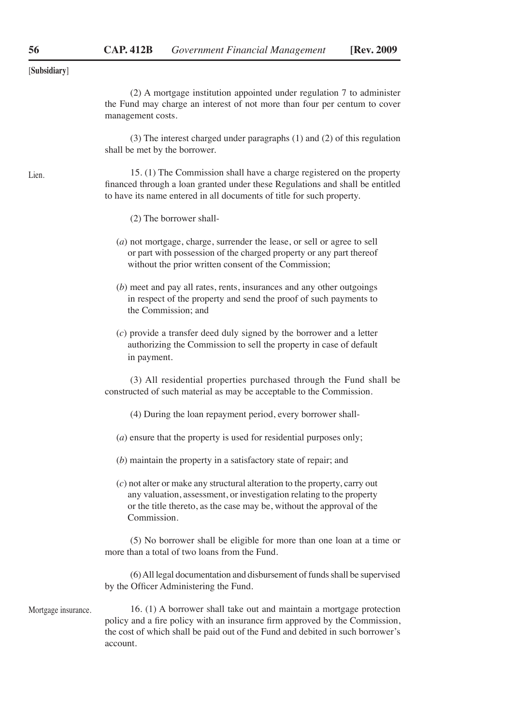[**Subsidiary**]

(2) A mortgage institution appointed under regulation 7 to administer the Fund may charge an interest of not more than four per centum to cover management costs.

(3) The interest charged under paragraphs (1) and (2) of this regulation shall be met by the borrower.

15. (1) The Commission shall have a charge registered on the property financed through a loan granted under these Regulations and shall be entitled to have its name entered in all documents of title for such property.

(2) The borrower shall-

| $(a)$ not mortgage, charge, surrender the lease, or sell or agree to sell |
|---------------------------------------------------------------------------|
| or part with possession of the charged property or any part thereof       |
| without the prior written consent of the Commission;                      |

(*b*) meet and pay all rates, rents, insurances and any other outgoings in respect of the property and send the proof of such payments to the Commission; and

(*c*) provide a transfer deed duly signed by the borrower and a letter authorizing the Commission to sell the property in case of default in payment.

(3) All residential properties purchased through the Fund shall be constructed of such material as may be acceptable to the Commission.

(4) During the loan repayment period, every borrower shall-

- (*a*) ensure that the property is used for residential purposes only;
- (*b*) maintain the property in a satisfactory state of repair; and
- (*c*) not alter or make any structural alteration to the property, carry out any valuation, assessment, or investigation relating to the property or the title thereto, as the case may be, without the approval of the Commission.

(5) No borrower shall be eligible for more than one loan at a time or more than a total of two loans from the Fund.

(6) All legal documentation and disbursement of funds shall be supervised by the Officer Administering the Fund.

Mortgage insurance.

16. (1) A borrower shall take out and maintain a mortgage protection policy and a fire policy with an insurance firm approved by the Commission, the cost of which shall be paid out of the Fund and debited in such borrower's account.

Lien.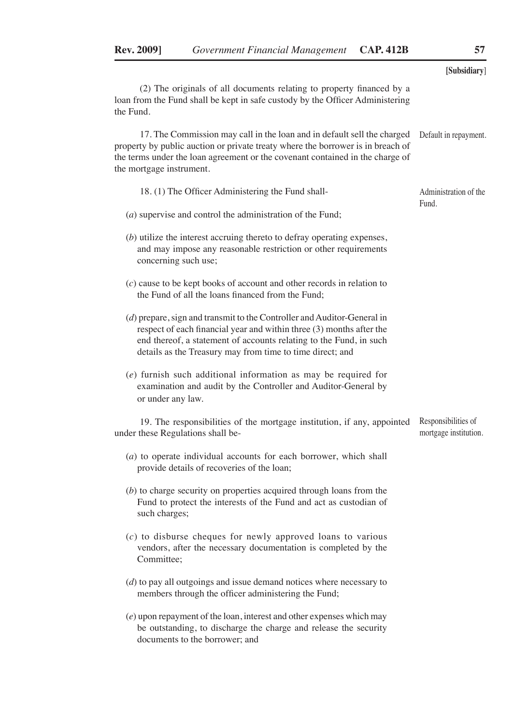**[Subsidiary**] (2) The originals of all documents relating to property financed by a loan from the Fund shall be kept in safe custody by the Officer Administering the Fund. 17. The Commission may call in the loan and in default sell the charged property by public auction or private treaty where the borrower is in breach of the terms under the loan agreement or the covenant contained in the charge of the mortgage instrument. 18. (1) The Officer Administering the Fund shall- (*a*) supervise and control the administration of the Fund; (*b*) utilize the interest accruing thereto to defray operating expenses, and may impose any reasonable restriction or other requirements concerning such use; (*c*) cause to be kept books of account and other records in relation to the Fund of all the loans financed from the Fund; (*d*) prepare, sign and transmit to the Controller and Auditor-General in respect of each financial year and within three (3) months after the end thereof, a statement of accounts relating to the Fund, in such details as the Treasury may from time to time direct; and (*e*) furnish such additional information as may be required for examination and audit by the Controller and Auditor-General by or under any law. 19. The responsibilities of the mortgage institution, if any, appointed under these Regulations shall be- (*a*) to operate individual accounts for each borrower, which shall provide details of recoveries of the loan; (*b*) to charge security on properties acquired through loans from the Fund to protect the interests of the Fund and act as custodian of such charges; (*c*) to disburse cheques for newly approved loans to various vendors, after the necessary documentation is completed by the Committee: (*d*) to pay all outgoings and issue demand notices where necessary to members through the officer administering the Fund; (*e*) upon repayment of the loan, interest and other expenses which may be outstanding, to discharge the charge and release the security documents to the borrower; and Default in repayment. Administration of the Fund. Responsibilities of mortgage institution.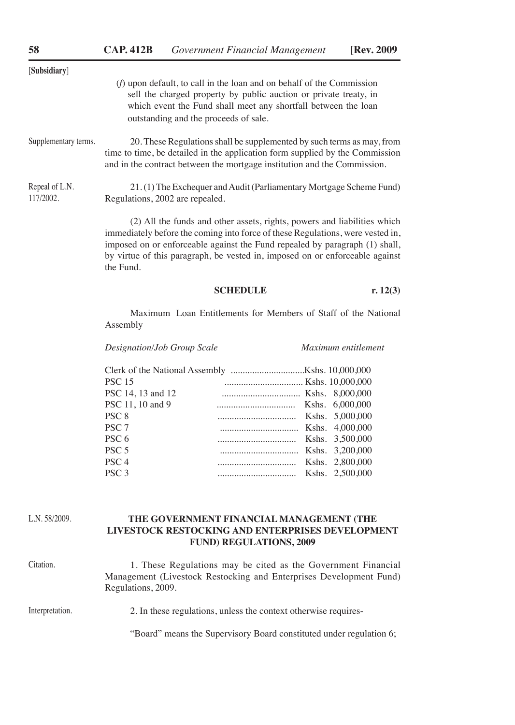| [Subsidiary]                |                                                                                                                                                                                                                                                         |
|-----------------------------|---------------------------------------------------------------------------------------------------------------------------------------------------------------------------------------------------------------------------------------------------------|
|                             | $(f)$ upon default, to call in the loan and on behalf of the Commission<br>sell the charged property by public auction or private treaty, in<br>which event the Fund shall meet any shortfall between the loan<br>outstanding and the proceeds of sale. |
| Supplementary terms.        | 20. These Regulations shall be supplemented by such terms as may, from<br>time to time, be detailed in the application form supplied by the Commission<br>and in the contract between the mortgage institution and the Commission.                      |
| Repeal of L.N.<br>117/2002. | 21. (1) The Exchequer and Audit (Parliamentary Mortgage Scheme Fund)<br>Regulations, 2002 are repealed.                                                                                                                                                 |
|                             | (2) All the funds and other assets, rights, powers and liabilities which<br>immediately before the coming into force of these Regulations, were vested in,<br>imposed on or enforceable equipst the Fund repealed by personant (1) shall                |

imposed on or enforceable against the Fund repealed by paragraph (1) shall, by virtue of this paragraph, be vested in, imposed on or enforceable against the Fund.

#### **SCHEDULE r.** 12(3)

Maximum Loan Entitlements for Members of Staff of the National Assembly

*Designation/Job Group Scale Maximum entitlement*

| <b>PSC 15</b>     | Kshs. 10,000,000         |  |
|-------------------|--------------------------|--|
| PSC 14, 13 and 12 | Kshs. 8,000,000          |  |
| PSC 11, 10 and 9  | Kshs. 6,000,000          |  |
| PSC <sub>8</sub>  |                          |  |
| PSC <sub>7</sub>  | Express Kshs. 4,000,000  |  |
| PSC <sub>6</sub>  | Exp. 3,500,000           |  |
| PSC <sub>5</sub>  | Exp. 3,200,000           |  |
| PSC <sub>4</sub>  | External Kshs. 2,800,000 |  |
| PSC <sub>3</sub>  | Exp. 2,500,000           |  |
|                   |                          |  |

L.N. 58/2009.

#### **THE GOVERNMENT FINANCIAL MANAGEMENT (THE LIVESTOCK RESTOCKING AND ENTERPRISES DEVELOPMENT FUND) REGULATIONS, 2009**

Citation.

1. These Regulations may be cited as the Government Financial Management (Livestock Restocking and Enterprises Development Fund) Regulations, 2009.

#### 2. In these regulations, unless the context otherwise requires- Interpretation.

"Board" means the Supervisory Board constituted under regulation 6;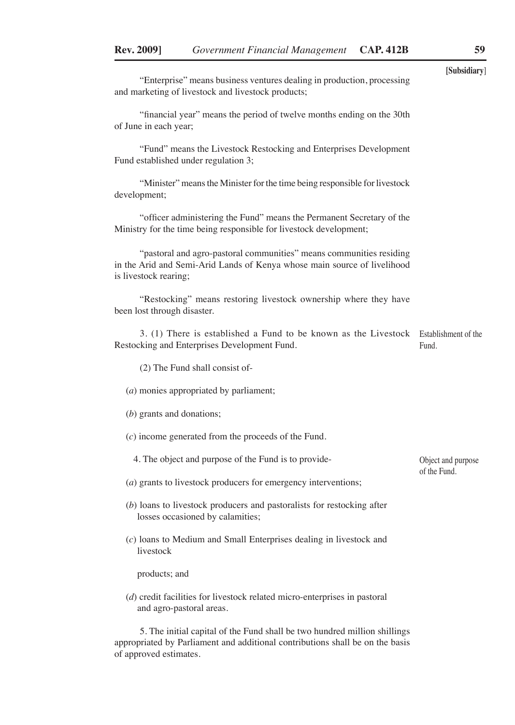"Enterprise" means business ventures dealing in production, processing and marketing of livestock and livestock products;

"financial year" means the period of twelve months ending on the 30th of June in each year;

"Fund" means the Livestock Restocking and Enterprises Development Fund established under regulation 3;

"Minister" means the Minister for the time being responsible for livestock development;

"officer administering the Fund" means the Permanent Secretary of the Ministry for the time being responsible for livestock development;

"pastoral and agro-pastoral communities" means communities residing in the Arid and Semi-Arid Lands of Kenya whose main source of livelihood is livestock rearing;

"Restocking" means restoring livestock ownership where they have been lost through disaster.

3. (1) There is established a Fund to be known as the Livestock Establishment of the Restocking and Enterprises Development Fund. Fund.

(2) The Fund shall consist of-

(*a*) monies appropriated by parliament;

- (*b*) grants and donations;
- (*c*) income generated from the proceeds of the Fund.

4. The object and purpose of the Fund is to provide-

- (*a*) grants to livestock producers for emergency interventions;
- (*b*) loans to livestock producers and pastoralists for restocking after losses occasioned by calamities;
- (*c*) loans to Medium and Small Enterprises dealing in livestock and livestock

products; and

(*d*) credit facilities for livestock related micro-enterprises in pastoral and agro-pastoral areas.

5. The initial capital of the Fund shall be two hundred million shillings appropriated by Parliament and additional contributions shall be on the basis of approved estimates.

Object and purpose of the Fund.

**[Subsidiary**]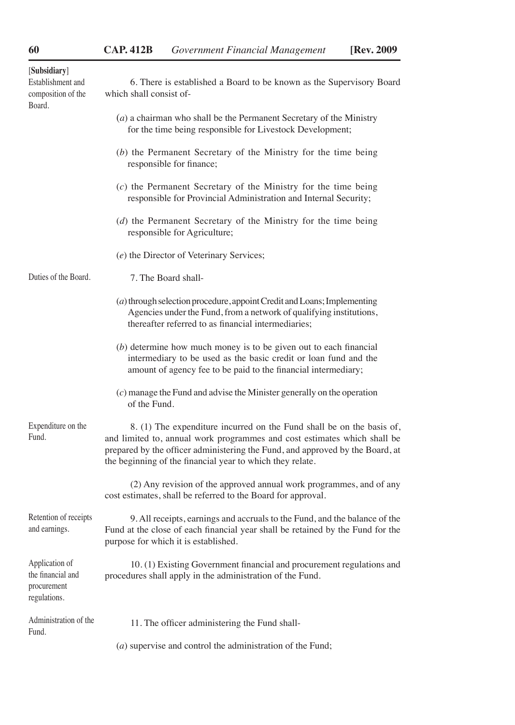| [Subsidiary]<br>Establishment and<br>composition of the<br>Board.  | 6. There is established a Board to be known as the Supervisory Board<br>which shall consist of-                                                                                                                                                                                                 |  |  |
|--------------------------------------------------------------------|-------------------------------------------------------------------------------------------------------------------------------------------------------------------------------------------------------------------------------------------------------------------------------------------------|--|--|
|                                                                    | $(a)$ a chairman who shall be the Permanent Secretary of the Ministry<br>for the time being responsible for Livestock Development;                                                                                                                                                              |  |  |
|                                                                    | (b) the Permanent Secretary of the Ministry for the time being<br>responsible for finance;                                                                                                                                                                                                      |  |  |
|                                                                    | $(c)$ the Permanent Secretary of the Ministry for the time being<br>responsible for Provincial Administration and Internal Security;                                                                                                                                                            |  |  |
|                                                                    | (d) the Permanent Secretary of the Ministry for the time being<br>responsible for Agriculture;                                                                                                                                                                                                  |  |  |
|                                                                    | (e) the Director of Veterinary Services;                                                                                                                                                                                                                                                        |  |  |
| Duties of the Board.                                               | 7. The Board shall-                                                                                                                                                                                                                                                                             |  |  |
|                                                                    | (a) through selection procedure, appoint Credit and Loans; Implementing<br>Agencies under the Fund, from a network of qualifying institutions,<br>thereafter referred to as financial intermediaries:                                                                                           |  |  |
|                                                                    | $(b)$ determine how much money is to be given out to each financial<br>intermediary to be used as the basic credit or loan fund and the<br>amount of agency fee to be paid to the financial intermediary;                                                                                       |  |  |
|                                                                    | $(c)$ manage the Fund and advise the Minister generally on the operation<br>of the Fund.                                                                                                                                                                                                        |  |  |
| Expenditure on the<br>Fund.                                        | 8. (1) The expenditure incurred on the Fund shall be on the basis of,<br>and limited to, annual work programmes and cost estimates which shall be<br>prepared by the officer administering the Fund, and approved by the Board, at<br>the beginning of the financial year to which they relate. |  |  |
|                                                                    | (2) Any revision of the approved annual work programmes, and of any<br>cost estimates, shall be referred to the Board for approval.                                                                                                                                                             |  |  |
| Retention of receipts<br>and earnings.                             | 9. All receipts, earnings and accruals to the Fund, and the balance of the<br>Fund at the close of each financial year shall be retained by the Fund for the<br>purpose for which it is established.                                                                                            |  |  |
| Application of<br>the financial and<br>procurement<br>regulations. | 10. (1) Existing Government financial and procurement regulations and<br>procedures shall apply in the administration of the Fund.                                                                                                                                                              |  |  |
| Administration of the<br>Fund.                                     | 11. The officer administering the Fund shall-                                                                                                                                                                                                                                                   |  |  |
|                                                                    | $(a)$ supervise and control the administration of the Fund;                                                                                                                                                                                                                                     |  |  |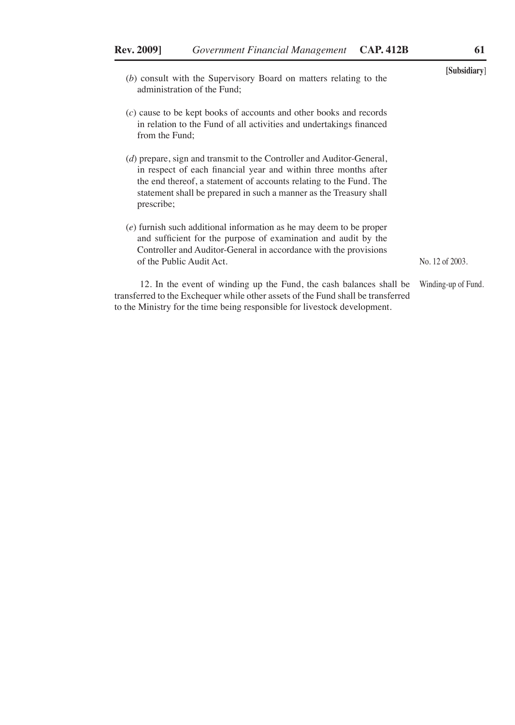to the Ministry for the time being responsible for livestock development.

| (b) consult with the Supervisory Board on matters relating to the<br>administration of the Fund:                                                                                                                                                                                                   | Subsidiary          |
|----------------------------------------------------------------------------------------------------------------------------------------------------------------------------------------------------------------------------------------------------------------------------------------------------|---------------------|
| (c) cause to be kept books of accounts and other books and records<br>in relation to the Fund of all activities and undertakings financed<br>from the Fund:                                                                                                                                        |                     |
| (d) prepare, sign and transmit to the Controller and Auditor-General,<br>in respect of each financial year and within three months after<br>the end thereof, a statement of accounts relating to the Fund. The<br>statement shall be prepared in such a manner as the Treasury shall<br>prescribe; |                     |
| $(e)$ furnish such additional information as he may deem to be proper<br>and sufficient for the purpose of examination and audit by the<br>Controller and Auditor-General in accordance with the provisions<br>of the Public Audit Act.                                                            | No. 12 of 2003.     |
| 12. In the event of winding up the Fund, the cash balances shall be<br>transferred to the Exchequer while other assets of the Fund shall be transferred                                                                                                                                            | Winding-up of Fund. |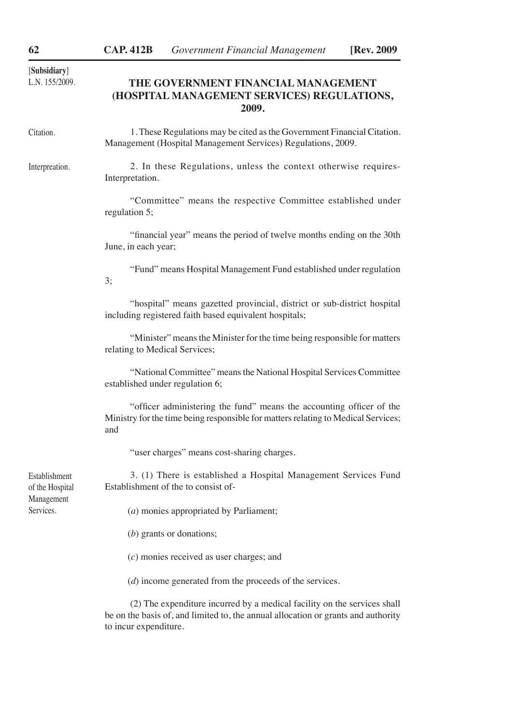# **THE GOVERNMENT FINANCIAL MANAGEMENT (HOSPITAL MANAGEMENT SERVICES) REGULATIONS, 2009.**

| Citation.                        | 1. These Regulations may be cited as the Government Financial Citation.<br>Management (Hospital Management Services) Regulations, 2009.                          |
|----------------------------------|------------------------------------------------------------------------------------------------------------------------------------------------------------------|
| Interpreation.                   | 2. In these Regulations, unless the context otherwise requires-<br>Interpretation.                                                                               |
|                                  | "Committee" means the respective Committee established under<br>regulation 5;                                                                                    |
|                                  | "financial year" means the period of twelve months ending on the 30th<br>June, in each year;                                                                     |
|                                  | "Fund" means Hospital Management Fund established under regulation<br>3;                                                                                         |
|                                  | "hospital" means gazetted provincial, district or sub-district hospital<br>including registered faith based equivalent hospitals;                                |
|                                  | "Minister" means the Minister for the time being responsible for matters<br>relating to Medical Services;                                                        |
|                                  | "National Committee" means the National Hospital Services Committee<br>established under regulation 6;                                                           |
|                                  | "officer administering the fund" means the accounting officer of the<br>Ministry for the time being responsible for matters relating to Medical Services;<br>and |
|                                  | "user charges" means cost-sharing charges.                                                                                                                       |
| Establishment<br>of the Hospital | 3. (1) There is established a Hospital Management Services Fund<br>Establishment of the to consist of-                                                           |
| Management<br>Services.          | (a) monies appropriated by Parliament;                                                                                                                           |
|                                  | $(b)$ grants or donations;                                                                                                                                       |
|                                  | $(c)$ monies received as user charges; and                                                                                                                       |
|                                  | (d) income generated from the proceeds of the services.                                                                                                          |
|                                  | (2) The expenditure incurred by a medical facility on the services shall<br>be on the basis of, and limited to, the annual allocation or grants and authority    |

to incur expenditure.

[**Subsidiary**]

L.N. 155/2009.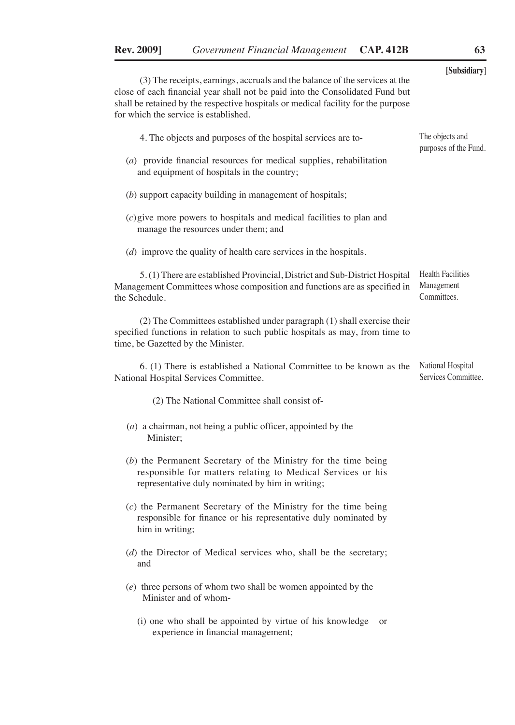| (3) The receipts, earnings, accruals and the balance of the services at the<br>close of each financial year shall not be paid into the Consolidated Fund but<br>shall be retained by the respective hospitals or medical facility for the purpose | [Subsidiary]                                          |
|---------------------------------------------------------------------------------------------------------------------------------------------------------------------------------------------------------------------------------------------------|-------------------------------------------------------|
| for which the service is established.<br>4. The objects and purposes of the hospital services are to-<br>$(a)$ provide financial resources for medical supplies, rehabilitation                                                                   | The objects and<br>purposes of the Fund.              |
| and equipment of hospitals in the country;<br>(b) support capacity building in management of hospitals;                                                                                                                                           |                                                       |
| $(c)$ give more powers to hospitals and medical facilities to plan and<br>manage the resources under them; and<br>$(d)$ improve the quality of health care services in the hospitals.                                                             |                                                       |
| 5. (1) There are established Provincial, District and Sub-District Hospital<br>Management Committees whose composition and functions are as specified in<br>the Schedule.                                                                         | <b>Health Facilities</b><br>Management<br>Committees. |
| (2) The Committees established under paragraph (1) shall exercise their<br>specified functions in relation to such public hospitals as may, from time to<br>time, be Gazetted by the Minister.                                                    |                                                       |
| 6. (1) There is established a National Committee to be known as the<br>National Hospital Services Committee.                                                                                                                                      | National Hospital<br>Services Committee.              |
| (2) The National Committee shall consist of-                                                                                                                                                                                                      |                                                       |
| $(a)$ a chairman, not being a public officer, appointed by the<br>Minister;                                                                                                                                                                       |                                                       |
| (b) the Permanent Secretary of the Ministry for the time being<br>responsible for matters relating to Medical Services or his<br>representative duly nominated by him in writing;                                                                 |                                                       |
| $(c)$ the Permanent Secretary of the Ministry for the time being<br>responsible for finance or his representative duly nominated by<br>him in writing;                                                                                            |                                                       |
| $(d)$ the Director of Medical services who, shall be the secretary;<br>and                                                                                                                                                                        |                                                       |
| $(e)$ three persons of whom two shall be women appointed by the<br>Minister and of whom-                                                                                                                                                          |                                                       |
| (i) one who shall be appointed by virtue of his knowledge<br>or<br>experience in financial management;                                                                                                                                            |                                                       |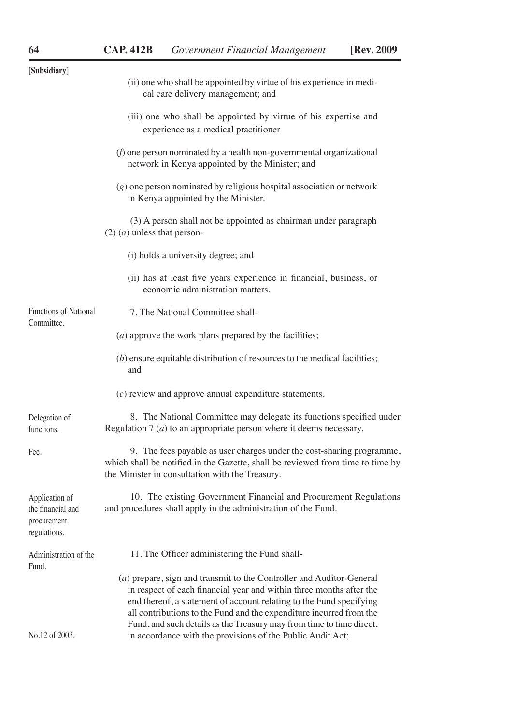| [Subsidiary]                                                       |                                                                                                                                                                                                                                                                                                                                                                   |
|--------------------------------------------------------------------|-------------------------------------------------------------------------------------------------------------------------------------------------------------------------------------------------------------------------------------------------------------------------------------------------------------------------------------------------------------------|
|                                                                    | (ii) one who shall be appointed by virtue of his experience in medi-<br>cal care delivery management; and                                                                                                                                                                                                                                                         |
|                                                                    | (iii) one who shall be appointed by virtue of his expertise and<br>experience as a medical practitioner                                                                                                                                                                                                                                                           |
|                                                                    | $(f)$ one person nominated by a health non-governmental organizational<br>network in Kenya appointed by the Minister; and                                                                                                                                                                                                                                         |
|                                                                    | $(g)$ one person nominated by religious hospital association or network<br>in Kenya appointed by the Minister.                                                                                                                                                                                                                                                    |
|                                                                    | (3) A person shall not be appointed as chairman under paragraph<br>$(2)$ ( <i>a</i> ) unless that person-                                                                                                                                                                                                                                                         |
|                                                                    | (i) holds a university degree; and                                                                                                                                                                                                                                                                                                                                |
|                                                                    | (ii) has at least five years experience in financial, business, or<br>economic administration matters.                                                                                                                                                                                                                                                            |
| <b>Functions of National</b><br>Committee.                         | 7. The National Committee shall-                                                                                                                                                                                                                                                                                                                                  |
|                                                                    | $(a)$ approve the work plans prepared by the facilities;                                                                                                                                                                                                                                                                                                          |
|                                                                    | $(b)$ ensure equitable distribution of resources to the medical facilities;<br>and                                                                                                                                                                                                                                                                                |
|                                                                    | $(c)$ review and approve annual expenditure statements.                                                                                                                                                                                                                                                                                                           |
| Delegation of<br>functions.                                        | 8. The National Committee may delegate its functions specified under<br>Regulation $7(a)$ to an appropriate person where it deems necessary.                                                                                                                                                                                                                      |
| Fee.                                                               | 9. The fees payable as user charges under the cost-sharing programme,<br>which shall be notified in the Gazette, shall be reviewed from time to time by<br>the Minister in consultation with the Treasury.                                                                                                                                                        |
| Application of<br>the financial and<br>procurement<br>regulations. | 10. The existing Government Financial and Procurement Regulations<br>and procedures shall apply in the administration of the Fund.                                                                                                                                                                                                                                |
| Administration of the<br>Fund.                                     | 11. The Officer administering the Fund shall-                                                                                                                                                                                                                                                                                                                     |
|                                                                    | (a) prepare, sign and transmit to the Controller and Auditor-General<br>in respect of each financial year and within three months after the<br>end thereof, a statement of account relating to the Fund specifying<br>all contributions to the Fund and the expenditure incurred from the<br>Fund, and such details as the Treasury may from time to time direct, |
| No.12 of 2003.                                                     | in accordance with the provisions of the Public Audit Act;                                                                                                                                                                                                                                                                                                        |